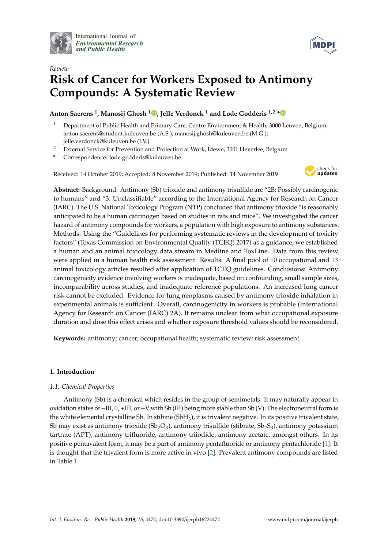

International Journal of *[Environmental Research](http://www.mdpi.com/journal/ijerph) and Public Health*



# *Review* **Risk of Cancer for Workers Exposed to Antimony Compounds: A Systematic Review**

**Anton Saerens <sup>1</sup> , Manosij Ghosh <sup>1</sup> [,](https://orcid.org/0000-0001-5034-001X) Jelle Verdonck <sup>1</sup> and Lode Godderis 1,2,[\\*](https://orcid.org/0000-0003-4764-8835)**

- <sup>1</sup> Department of Public Health and Primary Care, Centre Environment & Health, 3000 Leuven, Belgium; anton.saerens@student.kuleuven.be (A.S.); manosij.ghosh@kuleuven.be (M.G.); jelle.verdonck@kuleuven.be (J.V.)
- <sup>2</sup> External Service for Prevention and Protection at Work, Idewe, 3001 Heverlee, Belgium
- **\*** Correspondence: lode.godderis@kuleuven.be

Received: 14 October 2019; Accepted: 8 November 2019; Published: 14 November 2019



**Abstract:** Background: Antimony (Sb) trioxide and antimony trisulfide are "2B: Possibly carcinogenic to humans" and "3: Unclassifiable" according to the International Agency for Research on Cancer (IARC). The U.S. National Toxicology Program (NTP) concluded that antimony trioxide "is reasonably anticipated to be a human carcinogen based on studies in rats and mice". We investigated the cancer hazard of antimony compounds for workers, a population with high exposure to antimony substances. Methods: Using the "Guidelines for performing systematic reviews in the development of toxicity factors" (Texas Commission on Environmental Quality (TCEQ) 2017) as a guidance, we established a human and an animal toxicology data stream in Medline and ToxLine. Data from this review were applied in a human health risk assessment. Results: A final pool of 10 occupational and 13 animal toxicology articles resulted after application of TCEQ guidelines. Conclusions: Antimony carcinogenicity evidence involving workers is inadequate, based on confounding, small sample sizes, incomparability across studies, and inadequate reference populations. An increased lung cancer risk cannot be excluded. Evidence for lung neoplasms caused by antimony trioxide inhalation in experimental animals is sufficient. Overall, carcinogenicity in workers is probable (International Agency for Research on Cancer (IARC) 2A). It remains unclear from what occupational exposure duration and dose this effect arises and whether exposure threshold values should be reconsidered.

**Keywords:** antimony; cancer; occupational health; systematic review; risk assessment

# **1. Introduction**

# *1.1. Chemical Properties*

Antimony (Sb) is a chemical which resides in the group of semimetals. It may naturally appear in oxidation states of−III, 0, +III, or+V with Sb (III) being more stable than Sb (V). The electroneutral form is the white elemental crystalline Sb. In stibine  $(SbH<sub>3</sub>)$ , it is trivalent negative. In its positive trivalent state, Sb may exist as antimony trioxide (Sb<sub>2</sub>O<sub>3</sub>), antimony trisulfide (stibnite, Sb<sub>2</sub>S<sub>3</sub>), antimony potassium tartrate (APT), antimony trifluoride, antimony triiodide, antimony acetate, amongst others. In its positive pentavalent form, it may be a part of antimony pentafluoride or antimony pentachloride [\[1\]](#page-21-0). It is thought that the trivalent form is more active in vivo [\[2\]](#page-21-1). Prevalent antimony compounds are listed in Table [1.](#page-1-0)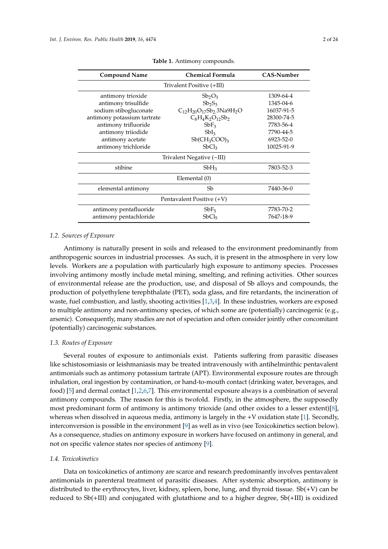<span id="page-1-0"></span>

| <b>Compound Name</b>        | <b>Chemical Formula</b>                       | <b>CAS-Number</b> |
|-----------------------------|-----------------------------------------------|-------------------|
|                             | Trivalent Positive (+III)                     |                   |
| antimony trioxide           | $Sb_2O_3$                                     | 1309-64-4         |
| antimony trisulfide         | $Sb_2S_3$                                     | 1345-04-6         |
| sodium stibogluconate       | $C_{12}H_{20}O_{17}Sb_2$ 3Na9H <sub>2</sub> O | 16037-91-5        |
| antimony potassium tartrate | $C_8H_4K_2O_{12}Sb_2$                         | 28300-74-5        |
| antimony trifluoride        | $SbF_3$                                       | 7783-56-4         |
| antimony triiodide          | SbI <sub>3</sub>                              | 7790-44-5         |
| antimony acetate            | $Sb(CH_3COO)_3$                               | 6923-52-0         |
| antimony trichloride        | SbCl <sub>3</sub>                             | 10025-91-9        |
|                             | Trivalent Negative (-III)                     |                   |
| stibine                     | $SbH_3$                                       | 7803-52-3         |
|                             | Elemental (0)                                 |                   |
| elemental antimony          | Sb                                            | 7440-36-0         |
|                             | Pentavalent Positive (+V)                     |                   |
| antimony pentafluoride      | SbF <sub>5</sub>                              | 7783-70-2         |
| antimony pentachloride      | SbCl <sub>5</sub>                             | 7647-18-9         |

**Table 1.** Antimony compounds.

#### *1.2. Sources of Exposure*

Antimony is naturally present in soils and released to the environment predominantly from anthropogenic sources in industrial processes. As such, it is present in the atmosphere in very low levels. Workers are a population with particularly high exposure to antimony species. Processes involving antimony mostly include metal mining, smelting, and refining activities. Other sources of environmental release are the production, use, and disposal of Sb alloys and compounds, the production of polyethylene terephthalate (PET), soda glass, and fire retardants, the incineration of waste, fuel combustion, and lastly, shooting activities [\[1](#page-21-0)[,3](#page-21-2)[,4\]](#page-21-3). In these industries, workers are exposed to multiple antimony and non-antimony species, of which some are (potentially) carcinogenic (e.g., arsenic). Consequently, many studies are not of speciation and often consider jointly other concomitant (potentially) carcinogenic substances.

#### *1.3. Routes of Exposure*

Several routes of exposure to antimonials exist. Patients suffering from parasitic diseases like schistosomiasis or leishmaniasis may be treated intravenously with antihelminthic pentavalent antimonials such as antimony potassium tartrate (APT). Environmental exposure routes are through inhalation, oral ingestion by contamination, or hand-to-mouth contact (drinking water, beverages, and food) [\[5\]](#page-21-4) and dermal contact [\[1](#page-21-0)[,2,](#page-21-1)[6,](#page-21-5)[7\]](#page-21-6). This environmental exposure always is a combination of several antimony compounds. The reason for this is twofold. Firstly, in the atmosphere, the supposedly most predominant form of antimony is antimony trioxide (and other oxides to a lesser extent)[\[8\]](#page-21-7), whereas when dissolved in aqueous media, antimony is largely in the +V oxidation state [\[1\]](#page-21-0). Secondly, interconversion is possible in the environment [\[9\]](#page-21-8) as well as in vivo (see Toxicokinetics section below). As a consequence, studies on antimony exposure in workers have focused on antimony in general, and not on specific valence states nor species of antimony [\[9\]](#page-21-8).

## *1.4. Toxicokinetics*

Data on toxicokinetics of antimony are scarce and research predominantly involves pentavalent antimonials in parenteral treatment of parasitic diseases. After systemic absorption, antimony is distributed to the erythrocytes, liver, kidney, spleen, bone, lung, and thyroid tissue.  $Sb(+V)$  can be reduced to Sb(+III) and conjugated with glutathione and to a higher degree, Sb(+III) is oxidized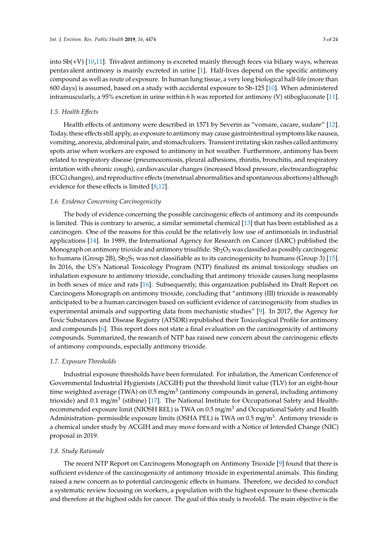into Sb(+V) [\[10](#page-21-9)[,11\]](#page-21-10). Trivalent antimony is excreted mainly through feces via biliary ways, whereas pentavalent antimony is mainly excreted in urine [\[1\]](#page-21-0). Half-lives depend on the specific antimony compound as well as route of exposure. In human lung tissue, a very long biological half-life (more than 600 days) is assumed, based on a study with accidental exposure to Sb-125 [\[10\]](#page-21-9). When administered intramuscularly, a 95% excretion in urine within 6 h was reported for antimony (V) stibogluconate [\[11\]](#page-21-10).

### *1.5. Health E*ff*ects*

Health effects of antimony were described in 1571 by Severin as "vomare, cacare, sudare" [\[12\]](#page-22-0). Today, these effects still apply, as exposure to antimony may cause gastrointestinal symptoms like nausea, vomiting, anorexia, abdominal pain, and stomach ulcers. Transient irritating skin rashes called antimony spots arise when workers are exposed to antimony in hot weather. Furthermore, antimony has been related to respiratory disease (pneumoconiosis, pleural adhesions, rhinitis, bronchitis, and respiratory irritation with chronic cough), cardiovascular changes (increased blood pressure, electrocardiographic (ECG) changes), and reproductive effects (menstrual abnormalities and spontaneous abortions) although evidence for these effects is limited [\[8,](#page-21-7)[12\]](#page-22-0).

### *1.6. Evidence Concerning Carcinogenicity*

The body of evidence concerning the possible carcinogenic effects of antimony and its compounds is limited. This is contrary to arsenic, a similar semimetal chemical [\[13\]](#page-22-1) that has been established as a carcinogen. One of the reasons for this could be the relatively low use of antimonials in industrial applications [\[14\]](#page-22-2). In 1989, the International Agency for Research on Cancer (IARC) published the Monograph on antimony trioxide and antimony trisulfide.  $Sb<sub>2</sub>O<sub>3</sub>$  was classified as possibly carcinogenic to humans (Group 2B),  $Sb_2S_3$  was not classifiable as to its carcinogenicity to humans (Group 3) [\[15\]](#page-22-3). In 2016, the US's National Toxicology Program (NTP) finalized its animal toxicology studies on inhalation exposure to antimony trioxide, concluding that antimony trioxide causes lung neoplasms in both sexes of mice and rats [\[16\]](#page-22-4). Subsequently, this organization published its Draft Report on Carcinogens Monograph on antimony trioxide, concluding that "antimony (III) trioxide is reasonably anticipated to be a human carcinogen based on sufficient evidence of carcinogenicity from studies in experimental animals and supporting data from mechanistic studies" [\[9\]](#page-21-8). In 2017, the Agency for Toxic Substances and Disease Registry (ATSDR) republished their Toxicological Profile for antimony and compounds [\[6\]](#page-21-5). This report does not state a final evaluation on the carcinogenicity of antimony compounds. Summarized, the research of NTP has raised new concern about the carcinogenic effects of antimony compounds, especially antimony trioxide.

### *1.7. Exposure Thresholds*

Industrial exposure thresholds have been formulated. For inhalation, the American Conference of Governmental Industrial Hygienists (ACGIH) put the threshold limit value (TLV) for an eight-hour time weighted average (TWA) on 0.5 mg/m<sup>3</sup> (antimony compounds in general, including antimony trioxide) and 0.1 mg/m<sup>3</sup> (stibine) [\[17\]](#page-22-5). The National Institute for Occupational Safety and Healthrecommended exposure limit (NIOSH REL) is TWA on 0.5 mg/m<sup>3</sup> and Occupational Safety and Health Administration- permissible exposure limits (OSHA PEL) is TWA on 0.5 mg/m<sup>3</sup>. Antimony trioxide is a chemical under study by ACGIH and may move forward with a Notice of Intended Change (NIC) proposal in 2019.

#### *1.8. Study Rationale*

The recent NTP Report on Carcinogens Monograph on Antimony Trioxide [\[9\]](#page-21-8) found that there is sufficient evidence of the carcinogenicity of antimony trioxide in experimental animals. This finding raised a new concern as to potential carcinogenic effects in humans. Therefore, we decided to conduct a systematic review focusing on workers, a population with the highest exposure to these chemicals and therefore at the highest odds for cancer. The goal of this study is twofold. The main objective is the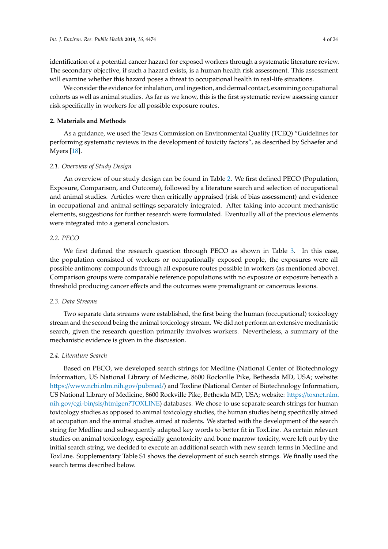identification of a potential cancer hazard for exposed workers through a systematic literature review. The secondary objective, if such a hazard exists, is a human health risk assessment. This assessment will examine whether this hazard poses a threat to occupational health in real-life situations.

We consider the evidence for inhalation, oral ingestion, and dermal contact, examining occupational cohorts as well as animal studies. As far as we know, this is the first systematic review assessing cancer risk specifically in workers for all possible exposure routes.

### **2. Materials and Methods**

As a guidance, we used the Texas Commission on Environmental Quality (TCEQ) "Guidelines for performing systematic reviews in the development of toxicity factors", as described by Schaefer and Myers [\[18\]](#page-22-6).

### *2.1. Overview of Study Design*

An overview of our study design can be found in Table [2.](#page-4-0) We first defined PECO (Population, Exposure, Comparison, and Outcome), followed by a literature search and selection of occupational and animal studies. Articles were then critically appraised (risk of bias assessment) and evidence in occupational and animal settings separately integrated. After taking into account mechanistic elements, suggestions for further research were formulated. Eventually all of the previous elements were integrated into a general conclusion.

# *2.2. PECO*

We first defined the research question through PECO as shown in Table [3.](#page-5-0) In this case, the population consisted of workers or occupationally exposed people, the exposures were all possible antimony compounds through all exposure routes possible in workers (as mentioned above). Comparison groups were comparable reference populations with no exposure or exposure beneath a threshold producing cancer effects and the outcomes were premalignant or cancerous lesions.

#### *2.3. Data Streams*

Two separate data streams were established, the first being the human (occupational) toxicology stream and the second being the animal toxicology stream. We did not perform an extensive mechanistic search, given the research question primarily involves workers. Nevertheless, a summary of the mechanistic evidence is given in the discussion.

# *2.4. Literature Search*

Based on PECO, we developed search strings for Medline (National Center of Biotechnology Information, US National Library of Medicine, 8600 Rockville Pike, Bethesda MD, USA; website: https://[www.ncbi.nlm.nih.gov](https://www.ncbi.nlm.nih.gov/pubmed/)/pubmed/) and Toxline (National Center of Biotechnology Information, US National Library of Medicine, 8600 Rockville Pike, Bethesda MD, USA; website: https://[toxnet.nlm.](https://toxnet.nlm.nih.gov/cgi-bin/sis/htmlgen?TOXLINE) nih.gov/cgi-bin/sis/[htmlgen?TOXLINE\)](https://toxnet.nlm.nih.gov/cgi-bin/sis/htmlgen?TOXLINE) databases. We chose to use separate search strings for human toxicology studies as opposed to animal toxicology studies, the human studies being specifically aimed at occupation and the animal studies aimed at rodents. We started with the development of the search string for Medline and subsequently adapted key words to better fit in ToxLine. As certain relevant studies on animal toxicology, especially genotoxicity and bone marrow toxicity, were left out by the initial search string, we decided to execute an additional search with new search terms in Medline and ToxLine. Supplementary Table S1 shows the development of such search strings. We finally used the search terms described below.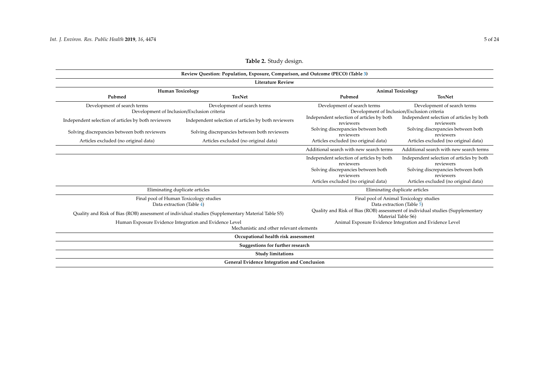<span id="page-4-0"></span>

|                                                     | Review Question: Population, Exposure, Comparison, and Outcome (PECO) (Table 3)                                                |                                                        |                                                                                                                                   |  |  |  |  |  |  |
|-----------------------------------------------------|--------------------------------------------------------------------------------------------------------------------------------|--------------------------------------------------------|-----------------------------------------------------------------------------------------------------------------------------------|--|--|--|--|--|--|
|                                                     | <b>Literature Review</b>                                                                                                       |                                                        |                                                                                                                                   |  |  |  |  |  |  |
|                                                     | <b>Human Toxicology</b>                                                                                                        |                                                        | <b>Animal Toxicology</b>                                                                                                          |  |  |  |  |  |  |
| Pubmed                                              | <b>ToxNet</b>                                                                                                                  | Pubmed                                                 | <b>ToxNet</b>                                                                                                                     |  |  |  |  |  |  |
| Development of search terms                         | Development of search terms<br>Development of Inclusion/Exclusion criteria                                                     | Development of search terms                            | Development of search terms<br>Development of Inclusion/Exclusion criteria                                                        |  |  |  |  |  |  |
| Independent selection of articles by both reviewers | Independent selection of articles by both reviewers                                                                            | Independent selection of articles by both<br>reviewers | Independent selection of articles by both<br>reviewers                                                                            |  |  |  |  |  |  |
| Solving discrepancies between both reviewers        | Solving discrepancies between both reviewers                                                                                   | Solving discrepancies between both<br>reviewers        | Solving discrepancies between both<br>reviewers                                                                                   |  |  |  |  |  |  |
| Articles excluded (no original data)                | Articles excluded (no original data)                                                                                           | Articles excluded (no original data)                   | Articles excluded (no original data)                                                                                              |  |  |  |  |  |  |
|                                                     |                                                                                                                                | Additional search with new search terms                | Additional search with new search terms                                                                                           |  |  |  |  |  |  |
|                                                     |                                                                                                                                | Independent selection of articles by both<br>reviewers | Independent selection of articles by both<br>reviewers                                                                            |  |  |  |  |  |  |
|                                                     |                                                                                                                                | Solving discrepancies between both<br>reviewers        | Solving discrepancies between both<br>reviewers                                                                                   |  |  |  |  |  |  |
|                                                     |                                                                                                                                | Articles excluded (no original data)                   | Articles excluded (no original data)                                                                                              |  |  |  |  |  |  |
|                                                     | Eliminating duplicate articles                                                                                                 | Eliminating duplicate articles                         |                                                                                                                                   |  |  |  |  |  |  |
|                                                     | Final pool of Human Toxicology studies                                                                                         |                                                        | Final pool of Animal Toxicology studies                                                                                           |  |  |  |  |  |  |
|                                                     | Data extraction (Table 4)<br>Quality and Risk of Bias (ROB) assessment of individual studies (Supplementary Material Table S5) |                                                        | Data extraction (Table 5)<br>Quality and Risk of Bias (ROB) assessment of individual studies (Supplementary<br>Material Table S6) |  |  |  |  |  |  |
|                                                     | Human Exposure Evidence Integration and Evidence Level                                                                         |                                                        | Animal Exposure Evidence Integration and Evidence Level                                                                           |  |  |  |  |  |  |
|                                                     | Mechanistic and other relevant elements                                                                                        |                                                        |                                                                                                                                   |  |  |  |  |  |  |
|                                                     | Occupational health risk assessment                                                                                            |                                                        |                                                                                                                                   |  |  |  |  |  |  |
|                                                     | Suggestions for further research                                                                                               |                                                        |                                                                                                                                   |  |  |  |  |  |  |
|                                                     | <b>Study limitations</b>                                                                                                       |                                                        |                                                                                                                                   |  |  |  |  |  |  |
|                                                     | General Evidence Integration and Conclusion                                                                                    |                                                        |                                                                                                                                   |  |  |  |  |  |  |

# **Table 2.** Study design.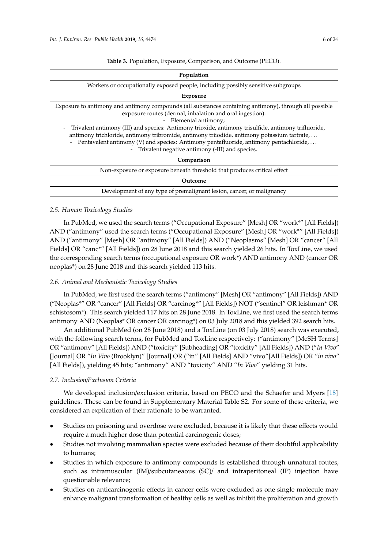<span id="page-5-1"></span><span id="page-5-0"></span>

| Population                                                                                                                                                                                                                                                                                                                                                                                                                                                                                                                                                                    |
|-------------------------------------------------------------------------------------------------------------------------------------------------------------------------------------------------------------------------------------------------------------------------------------------------------------------------------------------------------------------------------------------------------------------------------------------------------------------------------------------------------------------------------------------------------------------------------|
| Workers or occupationally exposed people, including possibly sensitive subgroups                                                                                                                                                                                                                                                                                                                                                                                                                                                                                              |
| <b>Exposure</b>                                                                                                                                                                                                                                                                                                                                                                                                                                                                                                                                                               |
| Exposure to antimony and antimony compounds (all substances containing antimony), through all possible<br>exposure routes (dermal, inhalation and oral ingestion):<br>- Elemental antimony;<br>Trivalent antimony (III) and species: Antimony trioxide, antimony trisulfide, antimony trifluoride,<br>$\overline{\phantom{a}}$<br>antimony trichloride, antimony tribromide, antimony triiodide, antimony potassium tartrate,<br>- Pentavalent antimony (V) and species: Antimony pentafluoride, antimony pentachloride,<br>- Trivalent negative antimony (-III) and species. |
| Comparison                                                                                                                                                                                                                                                                                                                                                                                                                                                                                                                                                                    |
| Non-exposure or exposure beneath threshold that produces critical effect                                                                                                                                                                                                                                                                                                                                                                                                                                                                                                      |
| Outcome                                                                                                                                                                                                                                                                                                                                                                                                                                                                                                                                                                       |
|                                                                                                                                                                                                                                                                                                                                                                                                                                                                                                                                                                               |

**Table 3.** Population, Exposure, Comparison, and Outcome (PECO).

## *2.5. Human Toxicology Studies*

In PubMed, we used the search terms ("Occupational Exposure" [Mesh] OR "work\*" [All Fields]) AND ("antimony" used the search terms ("Occupational Exposure" [Mesh] OR "work\*" [All Fields]) AND ("antimony" [Mesh] OR "antimony" [All Fields]) AND ("Neoplasms" [Mesh] OR "cancer" [All Fields] OR "canc\*" [All Fields]) on 28 June 2018 and this search yielded 26 hits. In ToxLine, we used the corresponding search terms (occupational exposure OR work\*) AND antimony AND (cancer OR neoplas\*) on 28 June 2018 and this search yielded 113 hits.

Development of any type of premalignant lesion, cancer, or malignancy

### *2.6. Animal and Mechanistic Toxicology Studies*

In PubMed, we first used the search terms ("antimony" [Mesh] OR "antimony" [All Fields]) AND ("Neoplas\*" OR "cancer" [All Fields] OR "carcinog\*" [All Fields]) NOT ("sentinel" OR leishman\* OR schistosom\*). This search yielded 117 hits on 28 June 2018. In ToxLine, we first used the search terms antimony AND (Neoplas\* OR cancer OR carcinog\*) on 03 July 2018 and this yielded 392 search hits.

An additional PubMed (on 28 June 2018) and a ToxLine (on 03 July 2018) search was executed, with the following search terms, for PubMed and ToxLine respectively: ("antimony" [MeSH Terms] OR "antimony" [All Fields]) AND ("toxicity" [Subheading] OR "toxicity" [All Fields]) AND ("*In Vivo*" [Journal] OR "*In Vivo* (Brooklyn)" [Journal] OR ("in" [All Fields] AND "vivo"[All Fields]) OR "*in vivo*" [All Fields]), yielding 45 hits; "antimony" AND "toxicity" AND "*In Vivo*" yielding 31 hits.

### *2.7. Inclusion*/*Exclusion Criteria*

We developed inclusion/exclusion criteria, based on PECO and the Schaefer and Myers [\[18\]](#page-22-6) guidelines. These can be found in Supplementary Material Table S2. For some of these criteria, we considered an explication of their rationale to be warranted.

- Studies on poisoning and overdose were excluded, because it is likely that these effects would require a much higher dose than potential carcinogenic doses;
- Studies not involving mammalian species were excluded because of their doubtful applicability to humans;
- Studies in which exposure to antimony compounds is established through unnatural routes, such as intramuscular (IM)/subcutaneaous (SC)/ and intraperitoneal (IP) injection have questionable relevance;
- Studies on anticarcinogenic effects in cancer cells were excluded as one single molecule may enhance malignant transformation of healthy cells as well as inhibit the proliferation and growth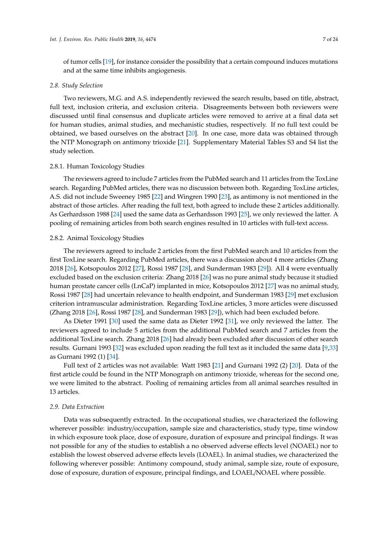of tumor cells [\[19\]](#page-22-7), for instance consider the possibility that a certain compound induces mutations and at the same time inhibits angiogenesis.

#### *2.8. Study Selection*

Two reviewers, M.G. and A.S. independently reviewed the search results, based on title, abstract, full text, inclusion criteria, and exclusion criteria. Disagreements between both reviewers were discussed until final consensus and duplicate articles were removed to arrive at a final data set for human studies, animal studies, and mechanistic studies, respectively. If no full text could be obtained, we based ourselves on the abstract [\[20\]](#page-22-8). In one case, more data was obtained through the NTP Monograph on antimony trioxide [\[21\]](#page-22-9). Supplementary Material Tables S3 and S4 list the study selection.

### 2.8.1. Human Toxicology Studies

The reviewers agreed to include 7 articles from the PubMed search and 11 articles from the ToxLine search. Regarding PubMed articles, there was no discussion between both. Regarding ToxLine articles, A.S. did not include Sweeney 1985 [\[22\]](#page-22-10) and Wingren 1990 [\[23\]](#page-22-11), as antimony is not mentioned in the abstract of those articles. After reading the full text, both agreed to include these 2 articles additionally. As Gerhardsson 1988 [\[24\]](#page-22-12) used the same data as Gerhardsson 1993 [\[25\]](#page-22-13), we only reviewed the latter. A pooling of remaining articles from both search engines resulted in 10 articles with full-text access.

### 2.8.2. Animal Toxicology Studies

The reviewers agreed to include 2 articles from the first PubMed search and 10 articles from the first ToxLine search. Regarding PubMed articles, there was a discussion about 4 more articles (Zhang 2018 [\[26\]](#page-22-14), Kotsopoulos 2012 [\[27\]](#page-22-15), Rossi 1987 [\[28\]](#page-22-16), and Sunderman 1983 [\[29\]](#page-22-17)). All 4 were eventually excluded based on the exclusion criteria: Zhang 2018 [\[26\]](#page-22-14) was no pure animal study because it studied human prostate cancer cells (LnCaP) implanted in mice, Kotsopoulos 2012 [\[27\]](#page-22-15) was no animal study, Rossi 1987 [\[28\]](#page-22-16) had uncertain relevance to health endpoint, and Sunderman 1983 [\[29\]](#page-22-17) met exclusion criterion intramuscular administration. Regarding ToxLine articles, 3 more articles were discussed (Zhang 2018 [\[26\]](#page-22-14), Rossi 1987 [\[28\]](#page-22-16), and Sunderman 1983 [\[29\]](#page-22-17)), which had been excluded before.

As Dieter 1991 [\[30\]](#page-22-18) used the same data as Dieter 1992 [\[31\]](#page-22-19), we only reviewed the latter. The reviewers agreed to include 5 articles from the additional PubMed search and 7 articles from the additional ToxLine search. Zhang 2018 [\[26\]](#page-22-14) had already been excluded after discussion of other search results. Gurnani 1993 [\[32\]](#page-22-20) was excluded upon reading the full text as it included the same data [\[9](#page-21-8)[,33\]](#page-22-21) as Gurnani 1992 (1) [\[34\]](#page-23-0).

Full text of 2 articles was not available: Watt 1983 [\[21\]](#page-22-9) and Gurnani 1992 (2) [\[20\]](#page-22-8). Data of the first article could be found in the NTP Monograph on antimony trioxide, whereas for the second one, we were limited to the abstract. Pooling of remaining articles from all animal searches resulted in 13 articles.

#### *2.9. Data Extraction*

Data was subsequently extracted. In the occupational studies, we characterized the following wherever possible: industry/occupation, sample size and characteristics, study type, time window in which exposure took place, dose of exposure, duration of exposure and principal findings. It was not possible for any of the studies to establish a no observed adverse effects level (NOAEL) nor to establish the lowest observed adverse effects levels (LOAEL). In animal studies, we characterized the following wherever possible: Antimony compound, study animal, sample size, route of exposure, dose of exposure, duration of exposure, principal findings, and LOAEL/NOAEL where possible.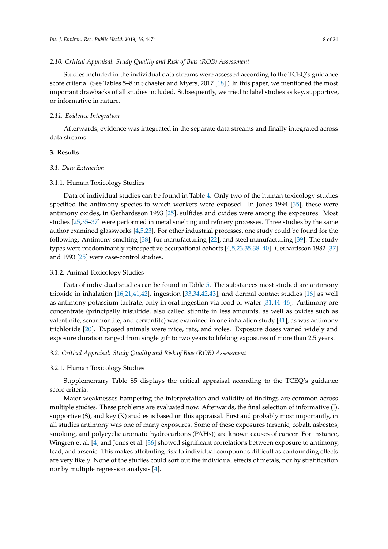### *2.10. Critical Appraisal: Study Quality and Risk of Bias (ROB) Assessment*

Studies included in the individual data streams were assessed according to the TCEQ's guidance score criteria. (See Tables 5–8 in Schaefer and Myers, 2017 [\[18\]](#page-22-6).) In this paper, we mentioned the most important drawbacks of all studies included. Subsequently, we tried to label studies as key, supportive, or informative in nature.

#### *2.11. Evidence Integration*

Afterwards, evidence was integrated in the separate data streams and finally integrated across data streams.

# **3. Results**

## *3.1. Data Extraction*

#### 3.1.1. Human Toxicology Studies

Data of individual studies can be found in Table [4.](#page-10-1) Only two of the human toxicology studies specified the antimony species to which workers were exposed. In Jones 1994 [\[35\]](#page-23-1), these were antimony oxides, in Gerhardsson 1993 [\[25\]](#page-22-13), sulfides and oxides were among the exposures. Most studies [\[25](#page-22-13)[,35](#page-23-1)[–37\]](#page-23-2) were performed in metal smelting and refinery processes. Three studies by the same author examined glassworks [\[4](#page-21-3)[,5](#page-21-4)[,23\]](#page-22-11). For other industrial processes, one study could be found for the following: Antimony smelting [\[38\]](#page-23-3), fur manufacturing [\[22\]](#page-22-10), and steel manufacturing [\[39\]](#page-23-4). The study types were predominantly retrospective occupational cohorts [\[4](#page-21-3)[,5,](#page-21-4)[23,](#page-22-11)[35,](#page-23-1)[38–](#page-23-3)[40\]](#page-23-5). Gerhardsson 1982 [\[37\]](#page-23-2) and 1993 [\[25\]](#page-22-13) were case-control studies.

#### 3.1.2. Animal Toxicology Studies

Data of individual studies can be found in Table [5.](#page-15-1) The substances most studied are antimony trioxide in inhalation [\[16,](#page-22-4)[21,](#page-22-9)[41,](#page-23-6)[42\]](#page-23-7), ingestion [\[33](#page-22-21)[,34](#page-23-0)[,42](#page-23-7)[,43\]](#page-23-8), and dermal contact studies [\[16\]](#page-22-4) as well as antimony potassium tartrate, only in oral ingestion via food or water [\[31](#page-22-19)[,44–](#page-23-9)[46\]](#page-23-10). Antimony ore concentrate (principally trisulfide, also called stibnite in less amounts, as well as oxides such as valentinite, senarmontite, and cervantite) was examined in one inhalation study [\[41\]](#page-23-6), as was antimony trichloride [\[20\]](#page-22-8). Exposed animals were mice, rats, and voles. Exposure doses varied widely and exposure duration ranged from single gift to two years to lifelong exposures of more than 2.5 years.

### *3.2. Critical Appraisal: Study Quality and Risk of Bias (ROB) Assessment*

### 3.2.1. Human Toxicology Studies

Supplementary Table S5 displays the critical appraisal according to the TCEQ's guidance score criteria.

Major weaknesses hampering the interpretation and validity of findings are common across multiple studies. These problems are evaluated now. Afterwards, the final selection of informative (I), supportive (S), and key (K) studies is based on this appraisal. First and probably most importantly, in all studies antimony was one of many exposures. Some of these exposures (arsenic, cobalt, asbestos, smoking, and polycyclic aromatic hydrocarbons (PAHs)) are known causes of cancer. For instance, Wingren et al. [\[4\]](#page-21-3) and Jones et al. [\[36\]](#page-23-11) showed significant correlations between exposure to antimony, lead, and arsenic. This makes attributing risk to individual compounds difficult as confounding effects are very likely. None of the studies could sort out the individual effects of metals, nor by stratification nor by multiple regression analysis [\[4\]](#page-21-3).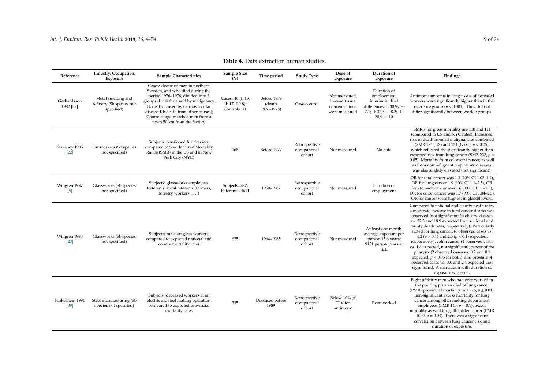| Reference                         | Industry, Occupation,<br>Exposure                            | <b>Sample Characteristics</b>                                                                                                                                                                                                                                                                       | Sample Size<br>(N)                                       | Time period                         | <b>Study Type</b>                       | Dose of<br>Exposure                                                | Duration of<br>Exposure                                                                                                       | Findings                                                                                                                                                                                                                                                                                                                                                                                                                                                                                                                                                                                                                                                                           |
|-----------------------------------|--------------------------------------------------------------|-----------------------------------------------------------------------------------------------------------------------------------------------------------------------------------------------------------------------------------------------------------------------------------------------------|----------------------------------------------------------|-------------------------------------|-----------------------------------------|--------------------------------------------------------------------|-------------------------------------------------------------------------------------------------------------------------------|------------------------------------------------------------------------------------------------------------------------------------------------------------------------------------------------------------------------------------------------------------------------------------------------------------------------------------------------------------------------------------------------------------------------------------------------------------------------------------------------------------------------------------------------------------------------------------------------------------------------------------------------------------------------------------|
| Gerhardsson<br>1982 [37]          | Metal smelting and<br>refinery (Sb species not<br>specified) | Cases: deceased men in northern<br>Sweden, and who died during the<br>period 1976-1978, divided into 3<br>groups (I: death caused by malignancy,<br>II: death caused by cardiovascular<br>disease III: death from other causes);<br>Controls: age-matched men from a<br>town 50 km from the factory | Cases: 40 (I: 15,<br>II: $17$ , III: 8);<br>Controls: 11 | Before 1978<br>(death<br>1976-1978) | Case-control                            | Not measured,<br>instead tissue<br>concentrations<br>were measured | Duration of<br>employment,<br>interindividual<br>differences. I: $30.9y + -$<br>$7,1$ ; II: 32,5 + - 8,2; III:<br>$28.9 + 10$ | Antimony amounts in lung tissue of deceased<br>workers were significantly higher than in the<br>reference group ( $p < 0.001$ ). They did not<br>differ significantly between worker groups.                                                                                                                                                                                                                                                                                                                                                                                                                                                                                       |
| Sweeney 1985<br>$[22]$            | Fur workers (Sb species<br>not specified)                    | Subjects: pensioned fur dressers,<br>compared to Standardized Mortality<br>Ratios (SMR) in the US and in New<br>York City (NYC)                                                                                                                                                                     | 168                                                      | Before 1977                         | Retrospective<br>occupational<br>cohort | Not measured                                                       | No data                                                                                                                       | SMR's for gross mortality are 118 and 111<br>(compared to US and NYC rates). Increased<br>risk of death from all malignancies combined<br>(SMR 184 (US) and 151 (NYC), $p < 0.05$ ),<br>which reflected the significantly higher than<br>expected risk from lung cancer (SMR 232, $p <$<br>0.05). Mortality from colorectal cancer, as well<br>as from nonmalignant respiratory diseases,<br>was also slightly elevated (not significant).                                                                                                                                                                                                                                         |
| Wingren 1987<br>$\left[5\right]$  | Glassworks (Sb species<br>not specified)                     | Subjects: glassworks employees.<br>Referents: rural referents (farmers,<br>forestry workers,  )                                                                                                                                                                                                     | Subjects: 887;<br>Referents: 4611                        | 1950-1982                           | Retrospective<br>occupational<br>cohort | Not measured                                                       | Duration of<br>employment                                                                                                     | OR for total cancer was 1.3 (90% CI 1.02-1.4),<br>OR for lung cancer 1.9 (90% CI 1.1-2.5), OR<br>for stomach cancer was 1.6 (90% CI 1.1-2.0),<br>OR for colon cancer was 1.7 (90% CI 1.04-2.5).<br>OR for cancer were highest in glassblowers.                                                                                                                                                                                                                                                                                                                                                                                                                                     |
| Wingren 1990<br>$\left[23\right]$ | Glassworks (Sb species<br>not specified)                     | Subjects: male art glass workers,<br>compared to expected national and<br>county mortality rates                                                                                                                                                                                                    | 625                                                      | 1964-1985                           | Retrospective<br>occupational<br>cohort | Not measured                                                       | At least one month,<br>average exposure per<br>person 15,6 years;<br>9151 person years at<br>risk                             | Compared to national and county death rates,<br>a moderate increase in total cancer deaths was<br>observed (not significant; 26 observed cases<br>vs. 22.3 and 18.9 expected from national and<br>county death rates, respectively). Particularly<br>noted for lung cancer, (6 observed cases vs.<br>4.2 ( $p > 0.1$ ) and 2.5 ( $p < 0.1$ ) expected,<br>respectively), colon cancer (4 observed cases<br>vs. 1.6 expected, not significant), cancer of the<br>pharynx (2 observed cases vs. 0.2 and 0.1<br>expected, $p < 0.05$ for both), and prostate (4<br>observed cases vs. 3.0 and 2.4 expected, not<br>significant). A correlation with duration of<br>exposure was seen. |
| Finkelstein 1991<br>$[39]$        | Steel manufacturing (Sb<br>species not specified)            | Subjects: deceased workers at an<br>electric arc steel making operation,<br>compared to expected provincial<br>mortality rates                                                                                                                                                                      | 335                                                      | Deceased before<br>1989             | Retrospective<br>occupational<br>cohort | Below 10% of<br>TLV for<br>antimony                                | Ever worked                                                                                                                   | Eight of thirty men who had ever worked in<br>the pouring pit area died of lung cancer<br>(PMR=provincial mortality rate 276; $p \le 0.01$ );<br>non-significant excess mortality for lung<br>cancer among other melting department<br>employees (PMR 145, $p = 0.1$ ); excess<br>mortality as well for gallbladder cancer (PMR                                                                                                                                                                                                                                                                                                                                                    |

# **Table 4.** Data extraction human studies.

1000,  $p = 0.04$ ). There was a significant correlation between lung cancer risk and duration of exposure.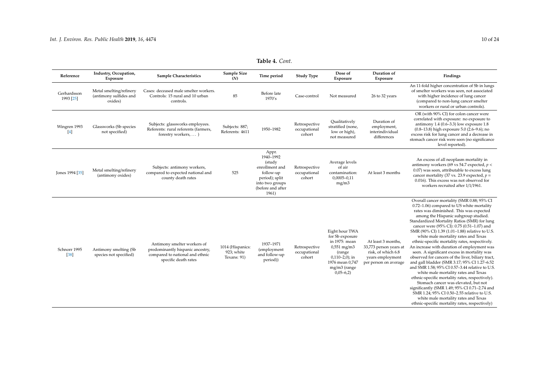| Reference                       | Industry, Occupation,<br>Exposure                            | Sample Characteristics                                                                                                     | Sample Size<br>(N)                            | Time period                                                                                                                    | <b>Study Type</b>                       | Dose of<br>Exposure                                                                                                                                 | Duration of<br>Exposure                                                                                         | Findings                                                                                                                                                                                                                                                                                                                                                                                                                                                                                                                                                                                                                                                                                                                                                                                                                                                                                                                                                                                                |
|---------------------------------|--------------------------------------------------------------|----------------------------------------------------------------------------------------------------------------------------|-----------------------------------------------|--------------------------------------------------------------------------------------------------------------------------------|-----------------------------------------|-----------------------------------------------------------------------------------------------------------------------------------------------------|-----------------------------------------------------------------------------------------------------------------|---------------------------------------------------------------------------------------------------------------------------------------------------------------------------------------------------------------------------------------------------------------------------------------------------------------------------------------------------------------------------------------------------------------------------------------------------------------------------------------------------------------------------------------------------------------------------------------------------------------------------------------------------------------------------------------------------------------------------------------------------------------------------------------------------------------------------------------------------------------------------------------------------------------------------------------------------------------------------------------------------------|
| Gerhardsson<br>1993 [25]        | Metal smelting/refinery<br>(antimony sulfides and<br>oxides) | Cases: deceased male smelter workers.<br>Controls: 15 rural and 10 urban<br>controls.                                      | 85                                            | Before late<br>1970's                                                                                                          | Case-control                            | Not measured                                                                                                                                        | 26 to 32 years                                                                                                  | An 11-fold higher concentration of Sb in lungs<br>of smelter workers was seen, not associated<br>with higher incidence of lung cancer<br>(compared to non-lung cancer smelter<br>workers or rural or urban controls).                                                                                                                                                                                                                                                                                                                                                                                                                                                                                                                                                                                                                                                                                                                                                                                   |
| Wingren 1993<br>$\vert 4 \vert$ | Glassworks (Sb species<br>not specified)                     | Subjects: glassworks employees.<br>Referents: rural referents (farmers,<br>forestry workers,  )                            | Subjects: 887;<br>Referents: 4611             | 1950-1982                                                                                                                      | Retrospective<br>occupational<br>cohort | Oualitatively<br>stratified (none,<br>low or high),<br>not measured                                                                                 | Duration of<br>employment,<br>interindividual<br>differences                                                    | OR (with 90% CI) for colon cancer were<br>correlated with exposure: no exposure to<br>antimony $1.4$ (0.6–3.3) low exposure $1.8$<br>(0.8-13.8) high exposure 5.0 (2.6-9.6); no<br>excess risk for lung cancer and a decrease in<br>stomach cancer risk were seen (no significance<br>level reported).                                                                                                                                                                                                                                                                                                                                                                                                                                                                                                                                                                                                                                                                                                  |
| Jones 1994 [35]                 | Metal smelting/refinery<br>(antimony oxides)                 | Subjects: antimony workers,<br>compared to expected national and<br>county death rates                                     | 525                                           | Appr.<br>1940-1992<br>(study<br>enrollment and<br>follow-up<br>period); split<br>into two groups<br>(before and after<br>1961) | Retrospective<br>occupational<br>cohort | Average levels<br>of air<br>contamination:<br>$0,0005 - 0,11$<br>mg/m3                                                                              | At least 3 months                                                                                               | An excess of all neoplasm mortality in<br>antimony workers (69 vs 54.7 expected, $p <$<br>0.07) was seen, attributable to excess lung<br>cancer mortality (37 vs. 23.9 expected, $p =$<br>0.016). This excess was not observed for<br>workers recruited after 1/1/1961.                                                                                                                                                                                                                                                                                                                                                                                                                                                                                                                                                                                                                                                                                                                                 |
| Schnorr 1995<br>$[38]$          | Antimony smelting (Sb<br>species not specified)              | Antimony smelter workers of<br>predominantly hispanic ancestry,<br>compared to national and ethnic<br>specific death rates | 1014 (Hispanics:<br>923; white<br>Texans: 91) | 1937-1971<br>(employment<br>and follow-up<br>period))                                                                          | Retrospective<br>occupational<br>cohort | Eight hour TWA<br>for Sb exposure<br>in 1975: mean<br>$0,551$ mg/m3<br>(range<br>$0,110-2,0$ ; in<br>1976 mean 0,747<br>mg/m3 (range<br>$0,05-6,2)$ | At least 3 months,<br>33,773 person years at<br>risk, of which 6.8<br>years employment<br>per person on average | Overall cancer mortality (SMR 0.88; 95% CI<br>0.72-1.06) compared to US white mortality<br>rates was diminished. This was expected<br>among the Hispanic subgroup studied.<br>Standardized Mortality Ratios (SMR) for lung<br>cancer were (95% CI): 0.75 (0.51-1.07) and<br>SMR (90% CI) 1.39 (1.01-1.88) relative to U.S.<br>white male mortality rates and Texas<br>ethnic-specific mortality rates, respectively.<br>An increase with duration of employment was<br>seen. A significant excess in mortality was<br>observed for cancers of the liver, biliary tract,<br>and gall bladder (SMR 3.17; 95% CI 1.27-6.52<br>and SMR 1.58; 95% CI 0.57-3.44 relative to U.S.<br>white male mortality rates and Texas<br>ethnic-specific mortality rates, respectively).<br>Stomach cancer was elevated, but not<br>significantly (SMR 1.49; 95% CI 0.71-2.74 and<br>SMR 1.24; 95% CI 0.50-2.55 relative to U.S.<br>white male mortality rates and Texas<br>ethnic-specific mortality rates, respectively) |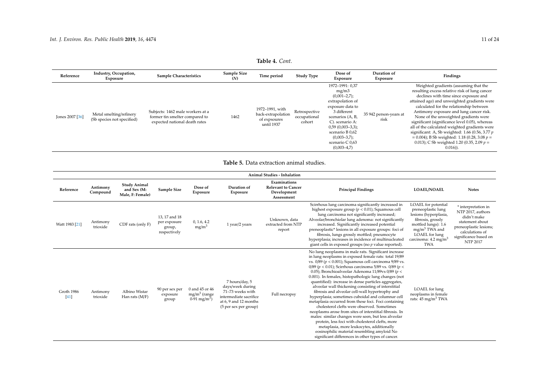<span id="page-10-0"></span>

| Reference       | Industry, Occupation,<br>Exposure                     | <b>Sample Characteristics</b>                                                                       | Sample Size<br>(N) | Time period                                                         | <b>Study Type</b>                       | Dose of<br>Exposure                                                                                                                                                                                                                     | Duration of<br>Exposure        | Findings                                                                                                                                                                                                                                                                                                                                                                                                                                                                                                                                                                                     |
|-----------------|-------------------------------------------------------|-----------------------------------------------------------------------------------------------------|--------------------|---------------------------------------------------------------------|-----------------------------------------|-----------------------------------------------------------------------------------------------------------------------------------------------------------------------------------------------------------------------------------------|--------------------------------|----------------------------------------------------------------------------------------------------------------------------------------------------------------------------------------------------------------------------------------------------------------------------------------------------------------------------------------------------------------------------------------------------------------------------------------------------------------------------------------------------------------------------------------------------------------------------------------------|
| Jones 2007 [36] | Metal smelting/refinery<br>(Sb species not specified) | Subjects: 1462 male workers at a<br>former tin smelter compared to<br>expected national death rates | 1462               | 1972-1991, with<br>back-extrapolation<br>of expsoures<br>until 1937 | Retrospective<br>occupational<br>cohort | 1972-1991: 0,37<br>mg/m3<br>$(0,001-2,7);$<br>extrapolation of<br>exposure data to<br>3 different<br>scenarios (A, B,<br>C). scenario A:<br>$0,59(0,003-3,3);$<br>scenario B 0,62<br>$(0,003-3,7);$<br>scenario C 0,63<br>$(0,003-4,7)$ | 35 942 person-years at<br>risk | Weighted gradients (assuming that the<br>resulting excess relative risk of lung cancer<br>declines with time since exposure and<br>attained age) and unweighted gradients were<br>calculated for the relationship between<br>Antimony exposure and lung cancer risk.<br>None of the unweighted gradients were<br>significant (significance level 0.05), whereas<br>all of the calculated weighted gradients were<br>significant: A, Sb weighted: 1.66 (0.56, 3.77 $p$ )<br>$= 0.004$ ; B Sb weighted: 1.18 (0.28, 3.08 $p =$<br>0.013); C Sb weighted 1.20 (0.35, 2.09 $p =$<br>$(0.016)$ ). |

# **Table 5.** Data extraction animal studies.

<span id="page-10-1"></span>

|                      |                      |                                                        |                                                         |                                                              |                                                                                                                                    | <b>Animal Studies - Inhalation</b>                                     |                                                                                                                                                                                                                                                                                                                                                                                                                                                                                                                                                                                                                                                                                                                                                                                                                                                                                                                                                                                                                         |                                                                                                                                                                                                                |                                                                                                                                                                     |
|----------------------|----------------------|--------------------------------------------------------|---------------------------------------------------------|--------------------------------------------------------------|------------------------------------------------------------------------------------------------------------------------------------|------------------------------------------------------------------------|-------------------------------------------------------------------------------------------------------------------------------------------------------------------------------------------------------------------------------------------------------------------------------------------------------------------------------------------------------------------------------------------------------------------------------------------------------------------------------------------------------------------------------------------------------------------------------------------------------------------------------------------------------------------------------------------------------------------------------------------------------------------------------------------------------------------------------------------------------------------------------------------------------------------------------------------------------------------------------------------------------------------------|----------------------------------------------------------------------------------------------------------------------------------------------------------------------------------------------------------------|---------------------------------------------------------------------------------------------------------------------------------------------------------------------|
| Reference            | Antimony<br>Compound | <b>Study Animal</b><br>and Sex (M:<br>Male, F: Female) | Sample Size                                             | Dose of<br>Exposure                                          | Duration of<br>Exposure                                                                                                            | Examinations<br><b>Relevant to Cancer</b><br>Development<br>Assessment | <b>Principal Findings</b>                                                                                                                                                                                                                                                                                                                                                                                                                                                                                                                                                                                                                                                                                                                                                                                                                                                                                                                                                                                               | <b>LOAEL/NOAEL</b>                                                                                                                                                                                             | <b>Notes</b>                                                                                                                                                        |
| Watt 1983 [21]       | Antimony<br>trioxide | CDF rats (only F)                                      | 13, 17 and 18<br>per exposure<br>group,<br>respectively | 0, 1.6, 4.2<br>mg/m <sup>3</sup>                             | 1 year/2 years                                                                                                                     | Unknown, data<br>extracted from NTP<br>report                          | Scirrhous lung carcinoma significantly increased in<br>highest exposure group ( $p < 0.01$ ); Squamous cell<br>lung carcinoma not significantly increased;<br>Alveolar/bronchiolar lung adenoma: not significantly<br>increased. Significantly increased potential<br>preneoplastic* lesions in all exposure groups: foci of<br>fibrosis, lungs grossly mottled; pneumocyte<br>hyperplasia; increases in incidence of multinucleated<br>giant cells in exposed groups (no $p$ value reported).                                                                                                                                                                                                                                                                                                                                                                                                                                                                                                                          | LOAEL for potential<br>preneoplastic lung<br>lesions (hyperplasia,<br>fibrosis, grossly<br>mottled lungs): 1.6<br>mg/m <sup>3</sup> TWA and<br>LOAEL for lung<br>carcinoma: $4.2 \text{ mg/m}^3$<br><b>TWA</b> | * interpretation in<br>NTP 2017, authors<br>didn't make<br>statement about<br>preneoplastic lesions;<br>calculations of<br>significance based on<br><b>NTP 2017</b> |
| Groth 1986<br>$[41]$ | Antimony<br>trioxide | Albino Wistar<br>Han rats (M/F)                        | 90 per sex per<br>exposure<br>group                     | 0 and 45 or 46<br>$mg/m3$ (range<br>0-91 mg/m <sup>3</sup> ) | 7 hours/day, 5<br>days/week during<br>71-73 weeks with<br>intermediate sacrifice<br>at 6, 9 and 12 months<br>(5 per sex per group) | Full necropsy                                                          | No lung neoplasms in male rats. Significant increase<br>in lung neoplasms in exposed female rats: total 19/89<br>vs. $0/89$ ( $p < 0.001$ ); Squamous cell carcinoma $9/89$ vs.<br>0/89 ( $p < 0.01$ ); Scirrhous carcinoma 5/89 vs. 0/89 ( $p <$<br>0.05); Bronchioalveolar Adenoma 11/89vs 0/89 ( $p$ <<br>0.001). In females, histopathologic lung changes (not<br>quantified): increase in dense particles aggregates,<br>alveolar wall thickening consisting of interstitial<br>fibrosis and alveolar cell-wall hypertrophy and<br>hyperplasia; sometimes cuboidal and columnar cell<br>metaplasia occurred from these foci. Foci containing<br>cholesterol clefts were observed. Sometimes<br>neoplasms arose from sites of interstitial fibrosis. In<br>males: similar changes were seen, but less alveolar<br>protein, less foci with cholesterol clefts, more<br>metaplasia, more leukocytes, additionally<br>eosinophilic material resembling amyloid No<br>significant differences in other types of cancer. | LOAEL for lung<br>neoplasms in female<br>rats: 45 mg/m <sup>3</sup> TWA                                                                                                                                        |                                                                                                                                                                     |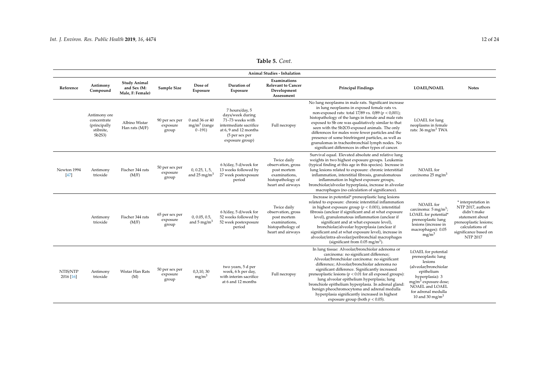|                       |                                                                   |                                                        |                                     |                                               |                                                                                                                                                | Animal Studies - Inhalation                                                                                 |                                                                                                                                                                                                                                                                                                                                                                                                                                                                                                                                                         |                                                                                                                                                                                                                   |                                                                                                                                                                     |
|-----------------------|-------------------------------------------------------------------|--------------------------------------------------------|-------------------------------------|-----------------------------------------------|------------------------------------------------------------------------------------------------------------------------------------------------|-------------------------------------------------------------------------------------------------------------|---------------------------------------------------------------------------------------------------------------------------------------------------------------------------------------------------------------------------------------------------------------------------------------------------------------------------------------------------------------------------------------------------------------------------------------------------------------------------------------------------------------------------------------------------------|-------------------------------------------------------------------------------------------------------------------------------------------------------------------------------------------------------------------|---------------------------------------------------------------------------------------------------------------------------------------------------------------------|
| Reference             | Antimony<br>Compound                                              | <b>Study Animal</b><br>and Sex (M:<br>Male, F: Female) | Sample Size                         | Dose of<br>Exposure                           | Duration of<br>Exposure                                                                                                                        | Examinations<br><b>Relevant to Cancer</b><br>Development<br>Assessment                                      | <b>Principal Findings</b>                                                                                                                                                                                                                                                                                                                                                                                                                                                                                                                               | <b>LOAEL/NOAEL</b>                                                                                                                                                                                                | <b>Notes</b>                                                                                                                                                        |
|                       | Antimony ore<br>concentrate<br>(principally<br>stibnite,<br>Sb2S3 | Albino Wistar<br>Han rats (M/F)                        | 90 per sex per<br>exposure<br>group | 0 and 36 or 40<br>$mg/m3$ (range<br>$0 - 191$ | 7 hours/day, 5<br>days/week during<br>71-73 weeks with<br>intermediate sacrifice<br>at 6, 9 and 12 months<br>(5 per sex per<br>exposure group) | Full necropsy                                                                                               | No lung neoplasms in male rats. Significant increase<br>in lung neoplasms in exposed female rats vs.<br>non-exposed rats: total 17/89 vs. $0/89$ ( $p < 0.001$ );<br>histopathology of the lungs in female and male rats<br>exposed to Sb ore was qualitatively similar to that<br>seen with the Sb2O3-exposed animals. The only<br>differences for males were fewer particles and the<br>presence of some birefringent particles, as well as<br>granulomas in tracheobronchial lymph nodes. No<br>significant differences in other types of cancer.    | LOAEL for lung<br>neoplasms in female<br>rats: $36 \text{ mg/m}^3$ TWA                                                                                                                                            |                                                                                                                                                                     |
| Newton 1994<br>$[47]$ | Antimony<br>trioxide                                              | Fischer 344 rats<br>(M/F)                              | 50 per sex per<br>exposure<br>group | 0, 0.25, 1, 5,<br>and 25 mg/m <sup>3</sup>    | 6 h/day, 5 d/week for<br>13 weeks followed by<br>27 week postexposure<br>period                                                                | Twice daily<br>observation, gross<br>post mortem<br>examinations,<br>histopathology of<br>heart and airways | Survival equal. Elevated absolute and relative lung<br>weights in two highest exposure groups. Leukemia<br>(typical finding at this age in this species). Increase in<br>lung lesions related to exposure: chronic interstitial<br>inflammation, interstitial fibrosis, granulomatous<br>inflammation in highest exposure groups,<br>bronchiolar/alveolar hyperplasia, increase in alveolar<br>macrophages (no calculation of significance).                                                                                                            | NOAEL for<br>carcinoma $25 \text{ mg/m}^3$                                                                                                                                                                        |                                                                                                                                                                     |
|                       | Antimony<br>trioxide                                              | Fischer 344 rats<br>(M/F)                              | 65 per sex per<br>exposure<br>group | 0, 0.05, 0.5,<br>and $5 \text{ mg/m}^3$       | 6 h/day, 5 d/week for<br>52 weeks followed by<br>52 week postexposure<br>period                                                                | Twice daily<br>observation, gross<br>post mortem<br>examinations,<br>histopathology of<br>heart and airways | Increase in potential* preneoplastic lung lesions<br>related to exposure: chronic interstitial inflammation<br>in highest exposure group ( $p < 0.001$ ), interstitial<br>fibrosis (unclear if significant and at what exposure<br>level), granulomatous inflammation (unclear if<br>significant and at what exposure level),<br>bronchiolar/alveolar hyperplasia (unclear if<br>significant and at what exposure level), increase in<br>alveolar/intra-alveolar/peribronchial macrophages<br>(significant from $0.05 \text{ mg/m}^3$ ).                | NOAEL for<br>carcinoma: $5 \text{ mg/m}^3$ ;<br>LOAEL for potential*<br>preneoplastic lung<br>lesions (increase in<br>macrophages): 0.05<br>mg/m <sup>3</sup>                                                     | * interpretation in<br>NTP 2017, authors<br>didn't make<br>statement about<br>preneoplastic lesions;<br>calculations of<br>significance based on<br><b>NTP 2017</b> |
| NTIS/NTP<br>2016 [16] | Antimony<br>trioxide                                              | Wistar Han Rats<br>(M)                                 | 50 per sex per<br>exposure<br>group | 0,3,10,30<br>mg/m <sup>3</sup>                | two years, 5 d per<br>week, 6 h per day,<br>with interim sacrifice<br>at 6 and 12 months                                                       | Full necropsy                                                                                               | In lung tissue: Alveolar/bronchiolar adenoma or<br>carcinoma: no significant difference;<br>Alveolar/bronchiolar carcinoma: no significant<br>difference; Alveolar/bronchiolar adenoma no<br>significant difference. Significantly increased<br>preneoplastic lesions ( $p < 0.01$ for all exposed groups):<br>lung alveolar epithelium hyperplasia; lung<br>bronchiole epithelium hyperplasia. In adrenal gland<br>benign pheochromocytoma and adrenal medulla<br>hyperplasia significantly increased in highest<br>exposure group (both $p < 0.05$ ). | LOAEL for potential<br>preneoplastic lung<br>lesions<br>(alveolar/bronchiolar<br>epithelium<br>hyperplasia): 3<br>$mg/m3$ exposure dose;<br>NOAEL and LOAEL<br>for adrenal medulla<br>10 and 30 mg/m <sup>3</sup> |                                                                                                                                                                     |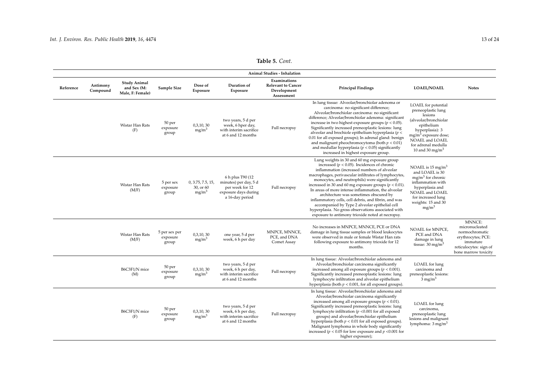|           | Animal Studies - Inhalation |                                                        |                                    |                                                     |                                                                                                          |                                                                        |                                                                                                                                                                                                                                                                                                                                                                                                                                                                                                                                                                                                                                            |                                                                                                                                                                                                                   |                                                                                                                                |  |  |  |
|-----------|-----------------------------|--------------------------------------------------------|------------------------------------|-----------------------------------------------------|----------------------------------------------------------------------------------------------------------|------------------------------------------------------------------------|--------------------------------------------------------------------------------------------------------------------------------------------------------------------------------------------------------------------------------------------------------------------------------------------------------------------------------------------------------------------------------------------------------------------------------------------------------------------------------------------------------------------------------------------------------------------------------------------------------------------------------------------|-------------------------------------------------------------------------------------------------------------------------------------------------------------------------------------------------------------------|--------------------------------------------------------------------------------------------------------------------------------|--|--|--|
| Reference | Antimony<br>Compound        | <b>Study Animal</b><br>and Sex (M:<br>Male, F: Female) | Sample Size                        | Dose of<br>Exposure                                 | Duration of<br>Exposure                                                                                  | Examinations<br><b>Relevant to Cancer</b><br>Development<br>Assessment | <b>Principal Findings</b>                                                                                                                                                                                                                                                                                                                                                                                                                                                                                                                                                                                                                  | <b>LOAEL/NOAEL</b>                                                                                                                                                                                                | <b>Notes</b>                                                                                                                   |  |  |  |
|           |                             | Wistar Han Rats<br>(F)                                 | 50 per<br>exposure<br>group        | 0,3,10,30<br>mg/m <sup>3</sup>                      | two years, 5 d per<br>week, 6 hper day,<br>with interim sacrifice<br>at 6 and 12 months                  | Full necropsy                                                          | In lung tissue: Alveolar/bronchiolar adenoma or<br>carcinoma: no significant difference;<br>Alveolar/bronchiolar carcinoma: no significant<br>difference; Alveolar/bronchiolar adenoma: significant<br>increase in two highest exposure groups ( $p < 0.05$ ).<br>Significantly increased preneoplastic lesions: lung<br>alveolar and brochiole epithelium hyperplasia ( $p$ <<br>0.01 for all exposed groups); In adrenal gland: benign<br>and malignant pheochromocytoma (both $p < 0.01$ )<br>and medullar hyperplasia ( $p < 0.05$ ) significantly<br>increased in highest exposure group.                                             | LOAEL for potential<br>preneoplastic lung<br>lesions<br>(alveolar/bronchiolar<br>epithelium<br>hyperplasia): 3<br>$mg/m3$ exposure dose;<br>NOAEL and LOAEL<br>for adrenal medulla<br>10 and 30 mg/m <sup>3</sup> |                                                                                                                                |  |  |  |
|           |                             | Wistar Han Rats<br>(M/F)                               | 5 per sex<br>exposure<br>group     | 0, 3.75, 7.5, 15,<br>30, or 60<br>mg/m <sup>3</sup> | 6 h plus T90 (12)<br>minutes) per day, 5 d<br>per week for 12<br>exposure days during<br>a 16-day period | Full necropsy                                                          | Lung weights in 30 and 60 mg exposure group<br>increased ( $p < 0.05$ ). Incidences of chronic<br>inflammation (increased numbers of alveolar<br>macrophages, perivascular infiltrates of lymphocytes,<br>monocytes, and neutrophils) were significantly<br>increased in 30 and 60 mg exposure groups ( $p < 0.01$ ).<br>In areas of more intense inflammation, the alveolar<br>architecture was sometimes obscured by<br>inflammatory cells, cell debris, and fibrin, and was<br>accompanied by Type 2 alveolar epithelial cell<br>hyperplasia. No gross observations associated with<br>exposure to antimony trioxide noted at necropsy. | NOAEL is $15 \text{ mg/m}^3$<br>and LOAEL is 30<br>$me/m3$ for chronic<br>inflammation with<br>hyperplasia and<br>NOAEL and LOAEL<br>for increased lung<br>weights: 15 and 30<br>$mg/m^3$                         |                                                                                                                                |  |  |  |
|           |                             | Wistar Han Rats<br>(M/F)                               | 5 per sex per<br>exposure<br>group | 0,3,10,30<br>mg/m <sup>3</sup>                      | one year, 5 d per<br>week, 6 h per day                                                                   | MNPCE, MNNCE,<br>PCE, and DNA<br>Comet Assay                           | No increases in MNPCE, MNNCE, PCE or DNA<br>damage in lung tissue samples or blood leukocytes<br>were observed in male or female Wistar Han rats<br>following exposure to antimony trioxide for 12<br>months.                                                                                                                                                                                                                                                                                                                                                                                                                              | NOAEL for MNPCE,<br>PCE and DNA<br>damage in lung<br>tissue: $30 \text{ mg/m}^3$                                                                                                                                  | MNNCE:<br>micronucleated<br>normochromatic<br>erythrocytes; PCE:<br>immature<br>reticulocytes: sign of<br>bone marrow toxicity |  |  |  |
|           |                             | B6C3F1/N mice<br>(M)                                   | 50 per<br>exposure<br>group        | 0,3,10,30<br>mg/m <sup>3</sup>                      | two years, 5 d per<br>week, 6 h per day,<br>with interim sacrifice<br>at 6 and 12 months                 | Full necropsy                                                          | In lung tissue: Alveolar/bronchiolar adenoma and<br>Alveolar/bronchiolar carcinoma significantly<br>increased among all exposure groups ( $p < 0.001$ ).<br>Significantly increased preneoplastic lesions: lung<br>lymphocyte infiltration and alveolar epithelium<br>hyperplasia (both $p < 0.001$ , for all exposed groups).                                                                                                                                                                                                                                                                                                             | LOAEL for lung<br>carcinoma and<br>preneoplastic lesions:<br>$3 \text{ mg/m}^3$                                                                                                                                   |                                                                                                                                |  |  |  |
|           |                             | B6C3F1/N mice<br>(F)                                   | 50 per<br>exposure<br>group        | 0,3,10,30<br>mg/m <sup>3</sup>                      | two years, 5 d per<br>week, 6 h per day,<br>with interim sacrifice<br>at 6 and 12 months                 | Full necropsy                                                          | In lung tissue: Alveolar/bronchiolar adenoma and<br>Alveolar/bronchiolar carcinoma significantly<br>increased among all exposure groups ( $p < 0.01$ ).<br>Significantly increased preneoplastic lesions: lung<br>lymphocyte infiltration ( $p$ <0.001 for all exposed<br>groups) and alveolar/bronchiolar epithelium<br>hyperplasia (both $p < 0.01$ for all exposed groups).<br>Malignant lymphoma in whole body significantly<br>increased ( $p < 0.05$ for low exposure and $p < 0.001$ for<br>higher exposure);                                                                                                                       | LOAEL for lung<br>carcinoma,<br>preneoplastic lung<br>lesions and malignant<br>lymphoma: $3 \text{ mg/m}^3$                                                                                                       |                                                                                                                                |  |  |  |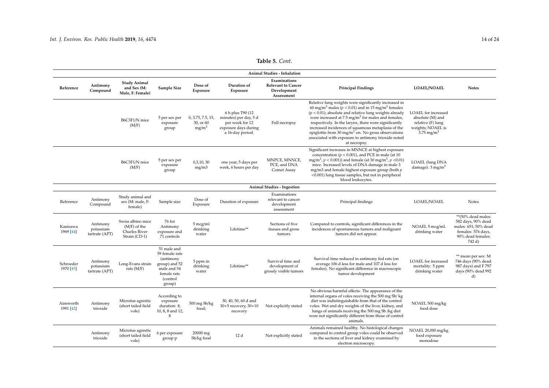|                        | Animal Studies - Inhalation             |                                                                              |                                                                                                                 |                                                     |                                                                                                           |                                                                        |                                                                                                                                                                                                                                                                                                                                                                                                                                                                                                                              |                                                                                                               |                                                                                                                       |  |  |  |
|------------------------|-----------------------------------------|------------------------------------------------------------------------------|-----------------------------------------------------------------------------------------------------------------|-----------------------------------------------------|-----------------------------------------------------------------------------------------------------------|------------------------------------------------------------------------|------------------------------------------------------------------------------------------------------------------------------------------------------------------------------------------------------------------------------------------------------------------------------------------------------------------------------------------------------------------------------------------------------------------------------------------------------------------------------------------------------------------------------|---------------------------------------------------------------------------------------------------------------|-----------------------------------------------------------------------------------------------------------------------|--|--|--|
| Reference              | Antimony<br>Compound                    | <b>Study Animal</b><br>and Sex (M:<br>Male, F: Female)                       | Sample Size                                                                                                     | Dose of<br>Exposure                                 | Duration of<br>Exposure                                                                                   | Examinations<br><b>Relevant to Cancer</b><br>Development<br>Assessment | <b>Principal Findings</b>                                                                                                                                                                                                                                                                                                                                                                                                                                                                                                    | <b>LOAEL/NOAEL</b>                                                                                            | <b>Notes</b>                                                                                                          |  |  |  |
|                        |                                         | B6C3F1/N mice<br>(M/F)                                                       | 5 per sex per<br>exposure<br>group                                                                              | 0, 3.75, 7.5, 15,<br>30, or 60<br>mg/m <sup>3</sup> | 6 h plus T90 (12)<br>minutes) per day, 5 d<br>per week for 12<br>exposure days during<br>a 16-day period. | Full necropsy                                                          | Relative lung weights were significantly increased in<br>60 mg/m <sup>3</sup> males ( $p < 0.01$ ) and in 15 mg/m <sup>3</sup> females<br>$(p < 0.01)$ ; absolute and relative lung weights already<br>were increased at $7.5 \text{ mg/m}^3$ for males and females,<br>respectively. In the larynx, there were significantly<br>increased incidences of squamous metaplasia of the<br>epiglottis from 30 mg/m <sup>3</sup> on. No gross observations<br>associated with exposure to antimony trioxide noted<br>at necropsy. | LOAEL for increased<br>absolute (M) and<br>relative (F) lung<br>weights; NOAEL is<br>$3.75 \,\mathrm{mg/m^3}$ |                                                                                                                       |  |  |  |
|                        |                                         | B6C3F1/N mice<br>(M/F)                                                       | 5 per sex per<br>exposure<br>group                                                                              | 0,3,10,30<br>mg/m3                                  | one year, 5 days per<br>week, 6 hours per day                                                             | MNPCE, MNNCE,<br>PCE, and DNA<br>Comet Assay                           | Significant increases in MNNCE at highest exposure<br>concentration ( $p < 0.001$ ), and PCE in male (at 10<br>mg/m <sup>3</sup> , $p < 0.001$ )) and female (at 30 mg/m <sup>3</sup> , $p < 0.01$ )<br>mice. Increased levels of DNA damage in male 3<br>mg/m3 and female highest exposure group (both p<br><0.001) lung tissue samples, but not in peripheral<br>blood leukocytes.                                                                                                                                         | <b>LOAEL</b> (lung DNA<br>damage): $3 \text{ mg/m}^3$                                                         |                                                                                                                       |  |  |  |
|                        |                                         |                                                                              |                                                                                                                 |                                                     |                                                                                                           | Animal Studies - Ingestion                                             |                                                                                                                                                                                                                                                                                                                                                                                                                                                                                                                              |                                                                                                               |                                                                                                                       |  |  |  |
| Reference              | Antimony<br>Compound                    | Study animal and<br>sex (M: male, F:<br>female)                              | Sample size                                                                                                     | Dose of<br>Exposure                                 | Duration of exposure                                                                                      | Examinations<br>relevant to cancer<br>development<br>assessment        | Principal findings                                                                                                                                                                                                                                                                                                                                                                                                                                                                                                           | <b>LOAEL/NOAEL</b>                                                                                            | Notes                                                                                                                 |  |  |  |
| Kanisawa<br>1969 [44]  | Antimony<br>potassium<br>tartrate (APT) | Swiss albino mice<br>$(M/F)$ of the<br><b>Charles River</b><br>Strain (CD-1) | 76 for<br>Antimony<br>exposure and<br>71 controls                                                               | 5 mcg/ml<br>drinking<br>water                       | Lifetime**                                                                                                | Sections of five<br>tissues and gross<br>tumors                        | Compared to controls, significant differences in the<br>incidences of spontaneous tumors and malignant<br>tumors did not appear.                                                                                                                                                                                                                                                                                                                                                                                             | NOAEL 5 mcg/mL<br>drinking water                                                                              | **(50% dead males:<br>582 days, 90% dead<br>males: 651; 50% dead<br>females: 576 days,<br>90% dead females:<br>742 d) |  |  |  |
| Schroeder<br>1970 [45] | Antimony<br>potassium<br>tartrate (APT) | Long-Evans strain<br>rats $(M/F)$                                            | 51 male and<br>59 female rats<br>(antimony<br>group) and 52<br>male and 54<br>female rats<br>(control<br>group) | 5 ppm in<br>drinking<br>water                       | Lifetime**                                                                                                | Survival time and<br>development of<br>grossly visible tumors          | Survival time reduced in antimony fed rats (on<br>average 106 d less for male and 107 d less for<br>females). No significant difference in macroscopic<br>tumor development                                                                                                                                                                                                                                                                                                                                                  | LOAEL for increased<br>mortality: 5 ppm<br>drinking water                                                     | ** mean per sex: M<br>746 days (90% dead:<br>987 days) and F 797<br>days (90% dead 992<br>d)                          |  |  |  |
| Ainsworth<br>1991 [42] | Antimony<br>trioxide                    | Microtus agrestis<br>(short tailed field<br>vole)                            | According to<br>exposure<br>duration: 8,<br>10, 8, 8 and 12,<br>8                                               | 500 mg Sb/kg<br>food;                               | 30, 40, 50, 60 d and<br>30+5 recovery, 30+10<br>recovery                                                  | Not explicitly stated                                                  | No obvious harmful effects: The appearance of the<br>internal organs of voles receiving the 500 mg Sb/kg<br>diet was indistinguishable from that of the control<br>voles. Wet and dry weights of the liver, kidney, and<br>lungs of animals receiving the 500 mg Sb /kg diet<br>were not significantly different from those of control<br>animals.                                                                                                                                                                           | NOAEL 500 mg/kg<br>food dose                                                                                  |                                                                                                                       |  |  |  |
|                        | Antimony<br>trioxide                    | Microtus agrestis<br>(short tailed field<br>vole)                            | 6 per exposure<br>group p                                                                                       | 20000 mg<br>Sb/kg food                              | 12 d                                                                                                      | Not explicitly stated                                                  | Animals remained healthy. No histological changes<br>compared to control group voles could be observed<br>in the sections of liver and kidney examined by<br>electron microscopy.                                                                                                                                                                                                                                                                                                                                            | NOAEL 20,000 mg/kg<br>food exposure<br>monodose                                                               |                                                                                                                       |  |  |  |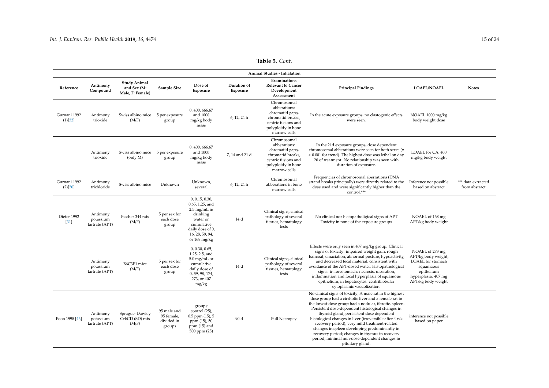|                                  |                                         |                                                        |                                                   |                                                                                                                                                          |                         | Animal Studies - Inhalation                                                                                                      |                                                                                                                                                                                                                                                                                                                                                                                                                                                                                                                                                                 |                                                                                                                                     |                                     |
|----------------------------------|-----------------------------------------|--------------------------------------------------------|---------------------------------------------------|----------------------------------------------------------------------------------------------------------------------------------------------------------|-------------------------|----------------------------------------------------------------------------------------------------------------------------------|-----------------------------------------------------------------------------------------------------------------------------------------------------------------------------------------------------------------------------------------------------------------------------------------------------------------------------------------------------------------------------------------------------------------------------------------------------------------------------------------------------------------------------------------------------------------|-------------------------------------------------------------------------------------------------------------------------------------|-------------------------------------|
| Reference                        | Antimony<br>Compound                    | <b>Study Animal</b><br>and Sex (M:<br>Male, F: Female) | Sample Size                                       | Dose of<br>Exposure                                                                                                                                      | Duration of<br>Exposure | Examinations<br><b>Relevant to Cancer</b><br>Development<br>Assessment                                                           | <b>Principal Findings</b>                                                                                                                                                                                                                                                                                                                                                                                                                                                                                                                                       | <b>LOAEL/NOAEL</b>                                                                                                                  | <b>Notes</b>                        |
| Gurnani 1992<br>(1)[32]          | Antimony<br>trioxide                    | Swiss albino mice 5 per exposure<br>(M/F)              | group                                             | 0.400.666.67<br>and 1000<br>mg/kg body<br>mass                                                                                                           | 6, 12, 24 h             | Chromosomal<br>abberations:<br>chromatid gaps,<br>chromatid breaks.<br>centric fusions and<br>polyploidy in bone<br>marrow cells | In the acute exposure groups, no clastogenic effects<br>were seen.                                                                                                                                                                                                                                                                                                                                                                                                                                                                                              | NOAEL 1000 mg/kg<br>body weight dose                                                                                                |                                     |
|                                  | Antimony<br>trioxide                    | Swiss albino mice<br>$\langle$ only $M$ )              | 5 per exposure<br>group                           | 0, 400, 666.67<br>and 1000<br>mg/kg body<br>mass                                                                                                         | 7, 14 and 21 d          | Chromosomal<br>abberations:<br>chromatid gaps,<br>chromatid breaks,<br>centric fusions and<br>polyploidy in bone<br>marrow cells | In the 21d exposure groups, dose dependent<br>chromosomal abberations were seen for both sexes (p<br>< 0.001 for trend). The highest dose was lethal on day<br>20 of treatment. No relationship was seen with<br>duration of exposure.                                                                                                                                                                                                                                                                                                                          | LOAEL for CA: 400<br>mg/kg body weight                                                                                              |                                     |
| Gurnani 1992<br>(2)[20]          | Antimony<br>trichloride                 | Swiss albino mice                                      | Unknown                                           | Unknown,<br>several                                                                                                                                      | 6, 12, 24 h             | Chromosomal<br>abberations in bone<br>marrow cells                                                                               | Frequencies of chromosomal aberrations (DNA<br>strand breaks principally) were directly related to the<br>dose used and were significantly higher than the<br>control.***                                                                                                                                                                                                                                                                                                                                                                                       | Inference not possible<br>based on abstract                                                                                         | *** data extracted<br>from abstract |
| Dieter 1992<br>$\left[31\right]$ | Antimony<br>potassium<br>tartrate (APT) | Fischer 344 rats<br>(M/F)                              | 5 per sex for<br>each dose<br>group               | 0, 0.15, 0.30,<br>0.65, 1.25, and<br>$2.5 \text{ mg/mL}$ in<br>drinking<br>water or<br>cumulative<br>daily dose of 0,<br>16, 28, 59, 94,<br>or 168 mg/kg | 14 d                    | Clinical signs, clinical<br>pathology of several<br>tissues, hematology<br>tests                                                 | No clinical nor histopatholigical signs of APT<br>Toxicity in none of the exposure groups                                                                                                                                                                                                                                                                                                                                                                                                                                                                       | NOAEL of 168 mg<br>APT/kg body weight                                                                                               |                                     |
|                                  | Antimony<br>potassium<br>tartrate (APT) | B6C3F1 mice<br>(M/F)                                   | 5 per sex for<br>each dose<br>group               | 0, 0.30, 0.65,<br>1.25, 2.5, and<br>$5.0 \text{ mg/mL}$ or<br>cumulative<br>daily dose of<br>0, 59, 98, 174,<br>273, or 407<br>mg/kg                     | 14 d                    | Clinical signs, clinical<br>pathology of several<br>tissues, hematology<br>tests                                                 | Effects were only seen in 407 mg/kg group: Clinical<br>signs of toxicity: impaired weight gain, rough<br>haircoat, emaciation, abnormal posture, hypoactivity,<br>and decreased fecal material, consistent with<br>avoidance of the APT-dosed water. Histopathological<br>signs: in forestomach: necrosis, ulceration,<br>inflammation and focal hyperplasia of squamous<br>epithelium; in hepatocytes: centriblobular<br>cytoplasmic vacuolization.                                                                                                            | NOAEL of 273 mg<br>APT/kg body weight,<br>LOAEL for stomach<br>squamaous<br>epithelium<br>hyperplasia: 407 mg<br>APT/kg body weight |                                     |
| Poon 1998 [46]                   | Antimony<br>potassium<br>tartrate (APT) | Sprague-Dawley<br>Crl:CD (SD) rats<br>(M/F)            | 95 male and<br>95 female,<br>divided in<br>groups | groups:<br>control (25),<br>$0.5$ ppm $(15)$ , 5<br>ppm (15), 50<br>$ppm(15)$ and<br>500 ppm (25)                                                        | 90 d                    | <b>Full Necropsy</b>                                                                                                             | No clinical signs of toxicity; A male rat in the highest<br>dose group had a cirrhotic liver and a female rat in<br>the lowest dose group had a nodular, fibrotic, spleen.<br>Persistent dose-dependent histological changes in<br>thyroid gland, perisistent dose dependent<br>histological changes in liver (irreversible after 4 wk<br>recovery period), very mild treatment-related<br>changes in spleen developing predominantly in<br>recovery period; changes in thymus in recovery<br>period; minimal non-dose dependent changes in<br>pituitary gland. | inference not possible<br>based on paper                                                                                            |                                     |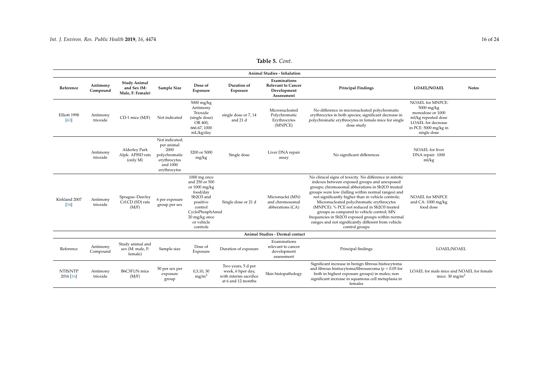<span id="page-15-1"></span><span id="page-15-0"></span>

|                         |                      |                                                        |                                                                                                   |                                                                                                                                                               |                                                                                         | <b>Animal Studies - Inhalation</b>                                     |                                                                                                                                                                                                                                                                                                                                                                                                                                                                                                                                                |                                                                                                                                                       |
|-------------------------|----------------------|--------------------------------------------------------|---------------------------------------------------------------------------------------------------|---------------------------------------------------------------------------------------------------------------------------------------------------------------|-----------------------------------------------------------------------------------------|------------------------------------------------------------------------|------------------------------------------------------------------------------------------------------------------------------------------------------------------------------------------------------------------------------------------------------------------------------------------------------------------------------------------------------------------------------------------------------------------------------------------------------------------------------------------------------------------------------------------------|-------------------------------------------------------------------------------------------------------------------------------------------------------|
| Reference               | Antimony<br>Compound | <b>Study Animal</b><br>and Sex (M:<br>Male, F: Female) | Sample Size                                                                                       | Dose of<br>Exposure                                                                                                                                           | Duration of<br>Exposure                                                                 | Examinations<br><b>Relevant to Cancer</b><br>Development<br>Assessment | <b>Principal Findings</b>                                                                                                                                                                                                                                                                                                                                                                                                                                                                                                                      | <b>LOAEL/NOAEL</b><br><b>Notes</b>                                                                                                                    |
| Elliott 1998<br>$[43]$  | Antimony<br>trioxide | CD-1 mice (M/F)                                        | Not indicated                                                                                     | 5000 mg/kg<br>Antimony<br>Trioxide<br>(single dose)<br>OR 400,<br>666.67.1000<br>mL/kg/day                                                                    | single dose or 7, 14<br>and 21 d                                                        | Micronucleated<br>Polychromatic<br>Erythrocytes<br>(MNPCE)             | No difference in micronucleated polychromatic<br>erythrocytes in both species; significant decrease in<br>polychromatic erythrocytes in female mice for single<br>dose study                                                                                                                                                                                                                                                                                                                                                                   | <b>NOAEL for MNPCE:</b><br>5000 mg/kg<br>monodose or 1000<br>ml/kg repeated dose<br><b>LOAEL</b> for decrease<br>in PCE: 5000 mg/kg in<br>single dose |
|                         | Antimony<br>trioxide | Alderley Park<br>Alpk: APfSD rats<br>(only M)          | Not indicated:<br>per animal<br>2000<br>polychromatic<br>erythrocytes<br>and 1000<br>erythrocytes | 3200 or 5000<br>mg/kg                                                                                                                                         | Single dose                                                                             | Liver DNA repair<br>assay                                              | No significant differences                                                                                                                                                                                                                                                                                                                                                                                                                                                                                                                     | NOAEL for liver<br>DNA repair: 1000<br>ml/kg                                                                                                          |
| Kirkland 2007<br>$[34]$ | Antimony<br>trioxide | Sprague-Dawley<br>Crl:CD (SD) rats<br>(M/F)            | 6 per exposure<br>group per sex                                                                   | 1000 mg once<br>and 250 or 500<br>or 1000 mg/kg<br>food/day<br>Sb2O3 and<br>positive<br>control<br>CycloPhosphAmid<br>20 mg/kg once<br>or vehicle<br>controls | Single dose or 21 d                                                                     | Micronuclei (MN)<br>and chromosomal<br>abberations (CA)                | No clinical signs of toxicity. No difference in mitotic<br>indexes between exposed groups and unexposed<br>groups; chromosomal abberations in Sb2O3 treated<br>groups were low (falling within normal ranges) and<br>not significantly higher than in vehicle controls;<br>Micronucleated polychromatic erythrocytes<br>(MNPCE): % PCE not reduced in Sb2O3 treated<br>groups as compared to vehicle control; MN<br>frequencies in Sb2O3 exposed groups within normal<br>ranges and not significantly different from vehicle<br>control groups | <b>NOAEL for MNPCE</b><br>and CA: 1000 mg/kg<br>food dose                                                                                             |
|                         |                      |                                                        |                                                                                                   |                                                                                                                                                               |                                                                                         | Animal Studies - Dermal contact                                        |                                                                                                                                                                                                                                                                                                                                                                                                                                                                                                                                                |                                                                                                                                                       |
| Reference               | Antimony<br>Compound | Study animal and<br>sex (M: male, F:<br>female)        | Sample size                                                                                       | Dose of<br>Exposure                                                                                                                                           | Duration of exposure                                                                    | Examinations<br>relevant to cancer<br>development<br>assessment        | Principal findings                                                                                                                                                                                                                                                                                                                                                                                                                                                                                                                             | LOAEL/NOAEL                                                                                                                                           |
| NTIS/NTP<br>2016 [16]   | Antimony<br>trioxide | B6C3F1/N mice<br>(M/F)                                 | 50 per sex per<br>exposure<br>group                                                               | 0,3,10,30<br>mg/m <sup>3</sup>                                                                                                                                | Two years, 5 d per<br>week, 6 hper day,<br>with interim sacrifice<br>at 6 and 12 months | Skin histopathology                                                    | Significant increase in benign fibrous histiocytoma<br>and fibrous histiocytoma/fibrosarcoma ( $p < 0.05$ for<br>both in highest exposure groups) in males; non<br>significant increase in squamous cell metaplasia in<br>females                                                                                                                                                                                                                                                                                                              | LOAEL for male mice and NOAEL for female<br>mice: $30 \text{ mg/m}^3$                                                                                 |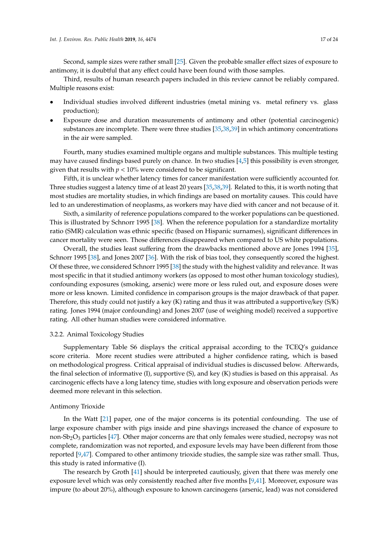Second, sample sizes were rather small [\[25\]](#page-22-13). Given the probable smaller effect sizes of exposure to antimony, it is doubtful that any effect could have been found with those samples.

Third, results of human research papers included in this review cannot be reliably compared. Multiple reasons exist:

- Individual studies involved different industries (metal mining vs. metal refinery vs. glass production);
- Exposure dose and duration measurements of antimony and other (potential carcinogenic) substances are incomplete. There were three studies [\[35,](#page-23-1)[38](#page-23-3)[,39\]](#page-23-4) in which antimony concentrations in the air were sampled.

Fourth, many studies examined multiple organs and multiple substances. This multiple testing may have caused findings based purely on chance. In two studies [\[4,](#page-21-3)[5\]](#page-21-4) this possibility is even stronger, given that results with  $p < 10\%$  were considered to be significant.

Fifth, it is unclear whether latency times for cancer manifestation were sufficiently accounted for. Three studies suggest a latency time of at least 20 years [\[35](#page-23-1)[,38](#page-23-3)[,39\]](#page-23-4). Related to this, it is worth noting that most studies are mortality studies, in which findings are based on mortality causes. This could have led to an underestimation of neoplasms, as workers may have died with cancer and not because of it.

Sixth, a similarity of reference populations compared to the worker populations can be questioned. This is illustrated by Schnorr 1995 [\[38\]](#page-23-3). When the reference population for a standardize mortality ratio (SMR) calculation was ethnic specific (based on Hispanic surnames), significant differences in cancer mortality were seen. Those differences disappeared when compared to US white populations.

Overall, the studies least suffering from the drawbacks mentioned above are Jones 1994 [\[35\]](#page-23-1), Schnorr 1995 [\[38\]](#page-23-3), and Jones 2007 [\[36\]](#page-23-11). With the risk of bias tool, they consequently scored the highest. Of these three, we considered Schnorr 1995 [\[38\]](#page-23-3) the study with the highest validity and relevance. It was most specific in that it studied antimony workers (as opposed to most other human toxicology studies), confounding exposures (smoking, arsenic) were more or less ruled out, and exposure doses were more or less known. Limited confidence in comparison groups is the major drawback of that paper. Therefore, this study could not justify a key (K) rating and thus it was attributed a supportive/key (S/K) rating. Jones 1994 (major confounding) and Jones 2007 (use of weighing model) received a supportive rating. All other human studies were considered informative.

## 3.2.2. Animal Toxicology Studies

Supplementary Table S6 displays the critical appraisal according to the TCEQ's guidance score criteria. More recent studies were attributed a higher confidence rating, which is based on methodological progress. Critical appraisal of individual studies is discussed below. Afterwards, the final selection of informative (I), supportive (S), and key (K) studies is based on this appraisal. As carcinogenic effects have a long latency time, studies with long exposure and observation periods were deemed more relevant in this selection.

## Antimony Trioxide

In the Watt [\[21\]](#page-22-9) paper, one of the major concerns is its potential confounding. The use of large exposure chamber with pigs inside and pine shavings increased the chance of exposure to non- $Sb<sub>2</sub>O<sub>3</sub>$  particles [\[47\]](#page-23-25). Other major concerns are that only females were studied, necropsy was not complete, randomization was not reported, and exposure levels may have been different from those reported [\[9](#page-21-8)[,47\]](#page-23-25). Compared to other antimony trioxide studies, the sample size was rather small. Thus, this study is rated informative (I).

The research by Groth [\[41\]](#page-23-6) should be interpreted cautiously, given that there was merely one exposure level which was only consistently reached after five months [\[9](#page-21-8)[,41\]](#page-23-6). Moreover, exposure was impure (to about 20%), although exposure to known carcinogens (arsenic, lead) was not considered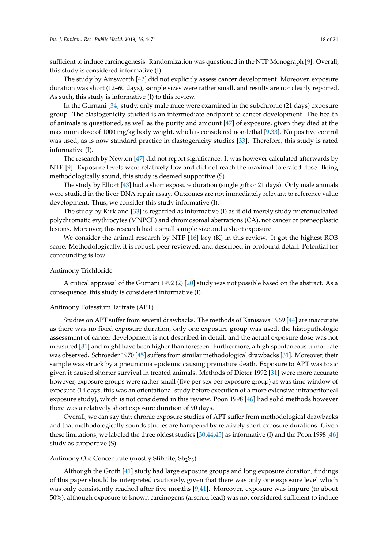sufficient to induce carcinogenesis. Randomization was questioned in the NTP Monograph [\[9\]](#page-21-8). Overall, this study is considered informative (I).

The study by Ainsworth [\[42\]](#page-23-7) did not explicitly assess cancer development. Moreover, exposure duration was short (12–60 days), sample sizes were rather small, and results are not clearly reported. As such, this study is informative (I) to this review.

In the Gurnani [\[34\]](#page-23-0) study, only male mice were examined in the subchronic (21 days) exposure group. The clastogenicity studied is an intermediate endpoint to cancer development. The health of animals is questioned, as well as the purity and amount [\[47\]](#page-23-25) of exposure, given they died at the maximum dose of 1000 mg/kg body weight, which is considered non-lethal [\[9,](#page-21-8)[33\]](#page-22-21). No positive control was used, as is now standard practice in clastogenicity studies [\[33\]](#page-22-21). Therefore, this study is rated informative (I).

The research by Newton [\[47\]](#page-23-25) did not report significance. It was however calculated afterwards by NTP [\[9\]](#page-21-8). Exposure levels were relatively low and did not reach the maximal tolerated dose. Being methodologically sound, this study is deemed supportive (S).

The study by Elliott [\[43\]](#page-23-8) had a short exposure duration (single gift or 21 days). Only male animals were studied in the liver DNA repair assay. Outcomes are not immediately relevant to reference value development. Thus, we consider this study informative (I).

The study by Kirkland [\[33\]](#page-22-21) is regarded as informative (I) as it did merely study micronucleated polychromatic erythrocytes (MNPCE) and chromosomal aberrations (CA), not cancer or preneoplastic lesions. Moreover, this research had a small sample size and a short exposure.

We consider the animal research by NTP  $[16]$  key (K) in this review. It got the highest ROB score. Methodologically, it is robust, peer reviewed, and described in profound detail. Potential for confounding is low.

### Antimony Trichloride

A critical appraisal of the Gurnani 1992 (2) [\[20\]](#page-22-8) study was not possible based on the abstract. As a consequence, this study is considered informative (I).

#### Antimony Potassium Tartrate (APT)

Studies on APT suffer from several drawbacks. The methods of Kanisawa 1969 [\[44\]](#page-23-9) are inaccurate as there was no fixed exposure duration, only one exposure group was used, the histopathologic assessment of cancer development is not described in detail, and the actual exposure dose was not measured [\[31\]](#page-22-19) and might have been higher than foreseen. Furthermore, a high spontaneous tumor rate was observed. Schroeder 1970 [\[45\]](#page-23-26) suffers from similar methodological drawbacks [\[31\]](#page-22-19). Moreover, their sample was struck by a pneumonia epidemic causing premature death. Exposure to APT was toxic given it caused shorter survival in treated animals. Methods of Dieter 1992 [\[31\]](#page-22-19) were more accurate however, exposure groups were rather small (five per sex per exposure group) as was time window of exposure (14 days, this was an orientational study before execution of a more extensive intraperitoneal exposure study), which is not considered in this review. Poon 1998 [\[46\]](#page-23-10) had solid methods however there was a relatively short exposure duration of 90 days.

Overall, we can say that chronic exposure studies of APT suffer from methodological drawbacks and that methodologically sounds studies are hampered by relatively short exposure durations. Given these limitations, we labeled the three oldest studies [\[30,](#page-22-18)[44,](#page-23-9)[45\]](#page-23-26) as informative (I) and the Poon 1998 [\[46\]](#page-23-10) study as supportive (S).

#### Antimony Ore Concentrate (mostly Stibnite,  $Sb_2S_3$ )

Although the Groth [\[41\]](#page-23-6) study had large exposure groups and long exposure duration, findings of this paper should be interpreted cautiously, given that there was only one exposure level which was only consistently reached after five months [\[9,](#page-21-8)[41\]](#page-23-6). Moreover, exposure was impure (to about 50%), although exposure to known carcinogens (arsenic, lead) was not considered sufficient to induce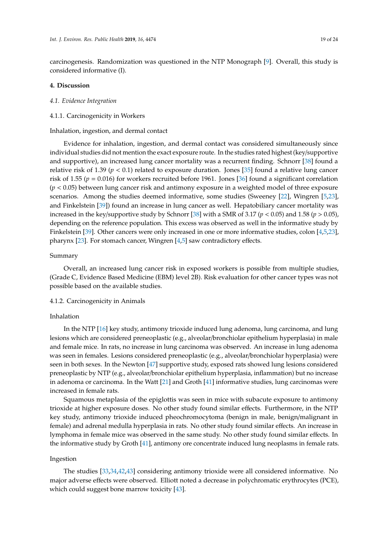carcinogenesis. Randomization was questioned in the NTP Monograph [\[9\]](#page-21-8). Overall, this study is considered informative (I).

### **4. Discussion**

#### *4.1. Evidence Integration*

#### 4.1.1. Carcinogenicity in Workers

Inhalation, ingestion, and dermal contact

Evidence for inhalation, ingestion, and dermal contact was considered simultaneously since individual studies did not mention the exact exposure route. In the studies rated highest (key/supportive and supportive), an increased lung cancer mortality was a recurrent finding. Schnorr [\[38\]](#page-23-3) found a relative risk of 1.39 ( $p < 0.1$ ) related to exposure duration. Jones [\[35\]](#page-23-1) found a relative lung cancer risk of 1.55 (*p* = 0.016) for workers recruited before 1961. Jones [\[36\]](#page-23-11) found a significant correlation (*p* < 0.05) between lung cancer risk and antimony exposure in a weighted model of three exposure scenarios. Among the studies deemed informative, some studies (Sweeney [\[22\]](#page-22-10), Wingren [\[5,](#page-21-4)[23\]](#page-22-11), and Finkelstein [\[39\]](#page-23-4)) found an increase in lung cancer as well. Hepatobiliary cancer mortality was increased in the key/supportive study by Schnorr [\[38\]](#page-23-3) with a SMR of 3.17 ( $p < 0.05$ ) and 1.58 ( $p > 0.05$ ), depending on the reference population. This excess was observed as well in the informative study by Finkelstein [\[39\]](#page-23-4). Other cancers were only increased in one or more informative studies, colon [\[4](#page-21-3)[,5,](#page-21-4)[23\]](#page-22-11), pharynx [\[23\]](#page-22-11). For stomach cancer, Wingren [\[4,](#page-21-3)[5\]](#page-21-4) saw contradictory effects.

#### Summary

Overall, an increased lung cancer risk in exposed workers is possible from multiple studies, (Grade C, Evidence Based Medicine (EBM) level 2B). Risk evaluation for other cancer types was not possible based on the available studies.

#### 4.1.2. Carcinogenicity in Animals

### Inhalation

In the NTP [\[16\]](#page-22-4) key study, antimony trioxide induced lung adenoma, lung carcinoma, and lung lesions which are considered preneoplastic (e.g., alveolar/bronchiolar epithelium hyperplasia) in male and female mice. In rats, no increase in lung carcinoma was observed. An increase in lung adenoma was seen in females. Lesions considered preneoplastic (e.g., alveolar/bronchiolar hyperplasia) were seen in both sexes. In the Newton [\[47\]](#page-23-25) supportive study, exposed rats showed lung lesions considered preneoplastic by NTP (e.g., alveolar/bronchiolar epithelium hyperplasia, inflammation) but no increase in adenoma or carcinoma. In the Watt [\[21\]](#page-22-9) and Groth [\[41\]](#page-23-6) informative studies, lung carcinomas were increased in female rats.

Squamous metaplasia of the epiglottis was seen in mice with subacute exposure to antimony trioxide at higher exposure doses. No other study found similar effects. Furthermore, in the NTP key study, antimony trioxide induced pheochromocytoma (benign in male, benign/malignant in female) and adrenal medulla hyperplasia in rats. No other study found similar effects. An increase in lymphoma in female mice was observed in the same study. No other study found similar effects. In the informative study by Groth [\[41\]](#page-23-6), antimony ore concentrate induced lung neoplasms in female rats.

## Ingestion

The studies [\[33,](#page-22-21)[34,](#page-23-0)[42](#page-23-7)[,43\]](#page-23-8) considering antimony trioxide were all considered informative. No major adverse effects were observed. Elliott noted a decrease in polychromatic erythrocytes (PCE), which could suggest bone marrow toxicity [\[43\]](#page-23-8).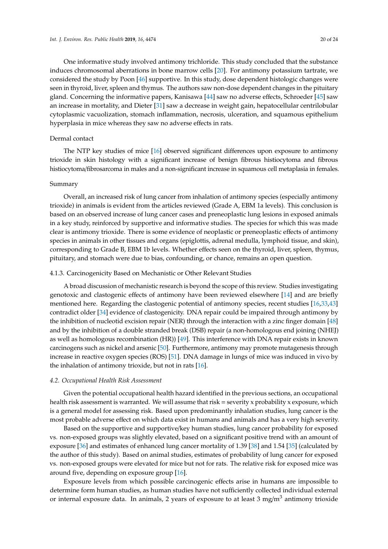One informative study involved antimony trichloride. This study concluded that the substance induces chromosomal aberrations in bone marrow cells [\[20\]](#page-22-8). For antimony potassium tartrate, we considered the study by Poon [\[46\]](#page-23-10) supportive. In this study, dose dependent histologic changes were seen in thyroid, liver, spleen and thymus. The authors saw non-dose dependent changes in the pituitary gland. Concerning the informative papers, Kanisawa [\[44\]](#page-23-9) saw no adverse effects, Schroeder [\[45\]](#page-23-26) saw an increase in mortality, and Dieter [\[31\]](#page-22-19) saw a decrease in weight gain, hepatocellular centrilobular cytoplasmic vacuolization, stomach inflammation, necrosis, ulceration, and squamous epithelium hyperplasia in mice whereas they saw no adverse effects in rats.

### Dermal contact

The NTP key studies of mice [\[16\]](#page-22-4) observed significant differences upon exposure to antimony trioxide in skin histology with a significant increase of benign fibrous histiocytoma and fibrous histiocytoma/fibrosarcoma in males and a non-significant increase in squamous cell metaplasia in females.

#### Summary

Overall, an increased risk of lung cancer from inhalation of antimony species (especially antimony trioxide) in animals is evident from the articles reviewed (Grade A, EBM 1a levels). This conclusion is based on an observed increase of lung cancer cases and preneoplastic lung lesions in exposed animals in a key study, reinforced by supportive and informative studies. The species for which this was made clear is antimony trioxide. There is some evidence of neoplastic or preneoplastic effects of antimony species in animals in other tissues and organs (epiglottis, adrenal medulla, lymphoid tissue, and skin), corresponding to Grade B, EBM 1b levels. Whether effects seen on the thyroid, liver, spleen, thymus, pituitary, and stomach were due to bias, confounding, or chance, remains an open question.

### 4.1.3. Carcinogenicity Based on Mechanistic or Other Relevant Studies

A broad discussion of mechanistic research is beyond the scope of this review. Studies investigating genotoxic and clastogenic effects of antimony have been reviewed elsewhere [\[14\]](#page-22-2) and are briefly mentioned here. Regarding the clastogenic potential of antimony species, recent studies [\[16](#page-22-4)[,33](#page-22-21)[,43\]](#page-23-8) contradict older [\[34\]](#page-23-0) evidence of clastogenicity. DNA repair could be impaired through antimony by the inhibition of nucleotid excision repair (NER) through the interaction with a zinc finger domain [\[48\]](#page-23-27) and by the inhibition of a double stranded break (DSB) repair (a non-homologous end joining (NHEJ) as well as homologous recombination (HR)) [\[49\]](#page-23-28). This interference with DNA repair exists in known carcinogens such as nickel and arsenic [\[50\]](#page-23-29). Furthermore, antimony may promote mutagenesis through increase in reactive oxygen species (ROS) [\[51\]](#page-23-30). DNA damage in lungs of mice was induced in vivo by the inhalation of antimony trioxide, but not in rats [\[16\]](#page-22-4).

### *4.2. Occupational Health Risk Assessment*

Given the potential occupational health hazard identified in the previous sections, an occupational health risk assessment is warranted. We will assume that risk = severity x probability x exposure, which is a general model for assessing risk. Based upon predominantly inhalation studies, lung cancer is the most probable adverse effect on which data exist in humans and animals and has a very high severity.

Based on the supportive and supportive/key human studies, lung cancer probability for exposed vs. non-exposed groups was slightly elevated, based on a significant positive trend with an amount of exposure [\[36\]](#page-23-11) and estimates of enhanced lung cancer mortality of 1.39 [\[38\]](#page-23-3) and 1.54 [\[35\]](#page-23-1) (calculated by the author of this study). Based on animal studies, estimates of probability of lung cancer for exposed vs. non-exposed groups were elevated for mice but not for rats. The relative risk for exposed mice was around five, depending on exposure group [\[16\]](#page-22-4).

Exposure levels from which possible carcinogenic effects arise in humans are impossible to determine form human studies, as human studies have not sufficiently collected individual external or internal exposure data. In animals, 2 years of exposure to at least 3 mg/m<sup>3</sup> antimony trioxide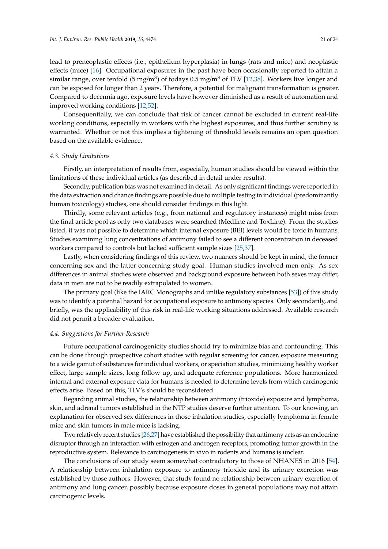lead to preneoplastic effects (i.e., epithelium hyperplasia) in lungs (rats and mice) and neoplastic effects (mice) [\[16\]](#page-22-4). Occupational exposures in the past have been occasionally reported to attain a similar range, over tenfold (5 mg/m $^3$ ) of todays 0.5 mg/m $^3$  of TLV [\[12,](#page-22-0)[38\]](#page-23-3). Workers live longer and can be exposed for longer than 2 years. Therefore, a potential for malignant transformation is greater. Compared to decennia ago, exposure levels have however diminished as a result of automation and improved working conditions [\[12](#page-22-0)[,52\]](#page-23-31).

Consequentially, we can conclude that risk of cancer cannot be excluded in current real-life working conditions, especially in workers with the highest exposures, and thus further scrutiny is warranted. Whether or not this implies a tightening of threshold levels remains an open question based on the available evidence.

### *4.3. Study Limitations*

Firstly, an interpretation of results from, especially, human studies should be viewed within the limitations of these individual articles (as described in detail under results).

Secondly, publication bias was not examined in detail. As only significant findings were reported in the data extraction and chance findings are possible due to multiple testing in individual (predominantly human toxicology) studies, one should consider findings in this light.

Thirdly, some relevant articles (e.g., from national and regulatory instances) might miss from the final article pool as only two databases were searched (Medline and ToxLine). From the studies listed, it was not possible to determine which internal exposure (BEI) levels would be toxic in humans. Studies examining lung concentrations of antimony failed to see a different concentration in deceased workers compared to controls but lacked sufficient sample sizes [\[25](#page-22-13)[,37\]](#page-23-2).

Lastly, when considering findings of this review, two nuances should be kept in mind, the former concerning sex and the latter concerning study goal. Human studies involved men only. As sex differences in animal studies were observed and background exposure between both sexes may differ, data in men are not to be readily extrapolated to women.

The primary goal (like the IARC Monographs and unlike regulatory substances [\[53\]](#page-23-32)) of this study was to identify a potential hazard for occupational exposure to antimony species. Only secondarily, and briefly, was the applicability of this risk in real-life working situations addressed. Available research did not permit a broader evaluation.

### *4.4. Suggestions for Further Research*

Future occupational carcinogenicity studies should try to minimize bias and confounding. This can be done through prospective cohort studies with regular screening for cancer, exposure measuring to a wide gamut of substances for individual workers, or speciation studies, minimizing healthy worker effect, large sample sizes, long follow up, and adequate reference populations. More harmonized internal and external exposure data for humans is needed to determine levels from which carcinogenic effects arise. Based on this, TLV's should be reconsidered.

Regarding animal studies, the relationship between antimony (trioxide) exposure and lymphoma, skin, and adrenal tumors established in the NTP studies deserve further attention. To our knowing, an explanation for observed sex differences in those inhalation studies, especially lymphoma in female mice and skin tumors in male mice is lacking.

Two relatively recent studies [\[26,](#page-22-14)[27\]](#page-22-15) have established the possibility that antimony acts as an endocrine disruptor through an interaction with estrogen and androgen receptors, promoting tumor growth in the reproductive system. Relevance to carcinogenesis in vivo in rodents and humans is unclear.

The conclusions of our study seem somewhat contradictory to those of NHANES in 2016 [\[54\]](#page-23-33). A relationship between inhalation exposure to antimony trioxide and its urinary excretion was established by those authors. However, that study found no relationship between urinary excretion of antimony and lung cancer, possibly because exposure doses in general populations may not attain carcinogenic levels.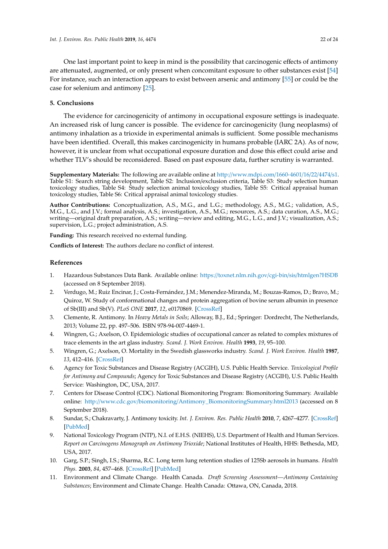One last important point to keep in mind is the possibility that carcinogenic effects of antimony are attenuated, augmented, or only present when concomitant exposure to other substances exist [\[54\]](#page-23-33) For instance, such an interaction appears to exist between arsenic and antimony [\[55\]](#page-23-34) or could be the case for selenium and antimony [\[25\]](#page-22-13).

# **5. Conclusions**

The evidence for carcinogenicity of antimony in occupational exposure settings is inadequate. An increased risk of lung cancer is possible. The evidence for carcinogenicity (lung neoplasms) of antimony inhalation as a trioxide in experimental animals is sufficient. Some possible mechanisms have been identified. Overall, this makes carcinogenicity in humans probable (IARC 2A). As of now, however, it is unclear from what occupational exposure duration and dose this effect could arise and whether TLV's should be reconsidered. Based on past exposure data, further scrutiny is warranted.

<span id="page-21-12"></span><span id="page-21-11"></span>**Supplementary Materials:** The following are available online at http://[www.mdpi.com](http://www.mdpi.com/1660-4601/16/22/4474/s1)/1660-4601/16/22/4474/s1. Table S1: Search string development, Table S2: Inclusion/exclusion criteria, Table S3: Study selection human toxicology studies, Table S4: Study selection animal toxicology studies, Table S5: Critical appraisal human toxicology studies, Table S6: Critical appraisal animal toxicology studies.

**Author Contributions:** Conceptualization, A.S., M.G., and L.G.; methodology, A.S., M.G.; validation, A.S., M.G., L.G., and J.V.; formal analysis, A.S.; investigation, A.S., M.G.; resources, A.S.; data curation, A.S., M.G.; writing—original draft preparation, A.S.; writing—review and editing, M.G., L.G., and J.V.; visualization, A.S.; supervision, L.G.; project administration, A.S.

**Funding:** This research received no external funding.

**Conflicts of Interest:** The authors declare no conflict of interest.

# **References**

- <span id="page-21-0"></span>1. Hazardous Substances Data Bank. Available online: https://[toxnet.nlm.nih.gov](https://toxnet.nlm.nih.gov/cgi-bin/sis/htmlgen?HSDB)/cgi-bin/sis/htmlgen?HSDB (accessed on 8 September 2018).
- <span id="page-21-1"></span>2. Verdugo, M.; Ruiz Encinar, J.; Costa-Fernández, J.M.; Menendez-Miranda, M.; Bouzas-Ramos, D.; Bravo, M.; Quiroz, W. Study of conformational changes and protein aggregation of bovine serum albumin in presence of Sb(III) and Sb(V). *PLoS ONE* **2017**, *12*, e0170869. [\[CrossRef\]](http://dx.doi.org/10.1371/journal.pone.0170869)
- <span id="page-21-2"></span>3. Clemente, R. Antimony. In *Heavy Metals in Soils*; Alloway, B.J., Ed.; Springer: Dordrecht, The Netherlands, 2013; Volume 22, pp. 497–506. ISBN 978-94-007-4469-1.
- <span id="page-21-3"></span>4. Wingren, G.; Axelson, O. Epidemiologic studies of occupational cancer as related to complex mixtures of trace elements in the art glass industry. *Scand. J. Work Environ. Health* **1993**, *19*, 95–100.
- <span id="page-21-4"></span>5. Wingren, G.; Axelson, O. Mortality in the Swedish glassworks industry. *Scand. J. Work Environ. Health* **1987**, *13*, 412–416. [\[CrossRef\]](http://dx.doi.org/10.5271/sjweh.2019)
- <span id="page-21-5"></span>6. Agency for Toxic Substances and Disease Registry (ACGIH), U.S. Public Health Service. *Toxicological Profile for Antimony and Compounds*; Agency for Toxic Substances and Disease Registry (ACGIH), U.S. Public Health Service: Washington, DC, USA, 2017.
- <span id="page-21-6"></span>7. Centers for Disease Control (CDC). National Biomonitoring Program: Biomonitoring Summary. Available online: http://www.cdc.gov/biomonitoring/[Antimony\\_BiomonitoringSummary.html2013](http://www.cdc.gov/biomonitoring/Antimony_BiomonitoringSummary.html 2013) (accessed on 8 September 2018).
- <span id="page-21-7"></span>8. Sundar, S.; Chakravarty, J. Antimony toxicity. *Int. J. Environ. Res. Public Health* **2010**, *7*, 4267–4277. [\[CrossRef\]](http://dx.doi.org/10.3390/ijerph7124267) [\[PubMed\]](http://www.ncbi.nlm.nih.gov/pubmed/21318007)
- <span id="page-21-8"></span>9. National Toxicology Program (NTP), N.I. of E.H.S. (NIEHS), U.S. Department of Health and Human Services. *Report on Carcinogens Monograph on Antimony Trioxide*; National Institutes of Health, HHS: Bethesda, MD, USA, 2017.
- <span id="page-21-9"></span>10. Garg, S.P.; Singh, I.S.; Sharma, R.C. Long term lung retention studies of 125Sb aerosols in humans. *Health Phys.* **2003**, *84*, 457–468. [\[CrossRef\]](http://dx.doi.org/10.1097/00004032-200304000-00005) [\[PubMed\]](http://www.ncbi.nlm.nih.gov/pubmed/12705444)
- <span id="page-21-10"></span>11. Environment and Climate Change. Health Canada. *Draft Screening Assessment—Antimony Containing Substances*; Environment and Climate Change. Health Canada: Ottawa, ON, Canada, 2018.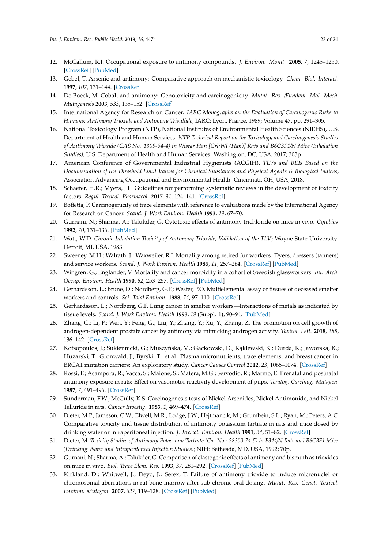- <span id="page-22-28"></span><span id="page-22-26"></span><span id="page-22-0"></span>12. McCallum, R.I. Occupational exposure to antimony compounds. *J. Environ. Monit.* **2005**, *7*, 1245–1250. [\[CrossRef\]](http://dx.doi.org/10.1039/b509118g) [\[PubMed\]](http://www.ncbi.nlm.nih.gov/pubmed/16307078)
- <span id="page-22-25"></span><span id="page-22-1"></span>13. Gebel, T. Arsenic and antimony: Comparative approach on mechanistic toxicology. *Chem. Biol. Interact.* **1997**, *107*, 131–144. [\[CrossRef\]](http://dx.doi.org/10.1016/S0009-2797(97)00087-2)
- <span id="page-22-22"></span><span id="page-22-2"></span>14. De Boeck, M. Cobalt and antimony: Genotoxicity and carcinogenicity. *Mutat. Res.* /*Fundam. Mol. Mech. Mutagenesis* **2003**, *533*, 135–152. [\[CrossRef\]](http://dx.doi.org/10.1016/j.mrfmmm.2003.07.012)
- <span id="page-22-23"></span><span id="page-22-3"></span>15. International Agency for Research on Cancer. *IARC Monographs on the Evaluation of Carcinogenic Risks to Humans: Antimony Trioxide and Antimony Trisulfide*; IARC: Lyon, France, 1989; Volume 47, pp. 291–305.
- <span id="page-22-24"></span><span id="page-22-4"></span>16. National Toxicology Program (NTP), National Institutes of Environmental Health Sciences (NIEHS), U.S. Department of Health and Human Services. *NTP Technical Report on the Toxicology and Carcinogenesis Studies of Antimony Trioxide (CAS No. 1309-64-4) in Wistar Han [Crl:WI (Han)] Rats and B6C3F1*/*N Mice (Inhalation Studies)*; U.S. Department of Health and Human Services: Washington, DC, USA, 2017; 303p.
- <span id="page-22-5"></span>17. American Conference of Governmental Industrial Hygienists (ACGIH). *TLVs and BEIs Based on the Documentation of the Threshold Limit Values for Chemical Substances and Physical Agents & Biological Indices*; Association Advancing Occupational and Environmental Health: Cincinnati, OH, USA, 2018.
- <span id="page-22-6"></span>18. Schaefer, H.R.; Myers, J.L. Guidelines for performing systematic reviews in the development of toxicity factors. *Regul. Toxicol. Pharmacol.* **2017**, *91*, 124–141. [\[CrossRef\]](http://dx.doi.org/10.1016/j.yrtph.2017.10.008)
- <span id="page-22-7"></span>19. Boffetta, P. Carcinogenicity of trace elements with reference to evaluations made by the International Agency for Research on Cancer. *Scand. J. Work Environ. Health* **1993**, *19*, 67–70.
- <span id="page-22-8"></span>20. Gurnani, N.; Sharma, A.; Talukder, G. Cytotoxic effects of antimony trichloride on mice in vivo. *Cytobios* **1992**, *70*, 131–136. [\[PubMed\]](http://www.ncbi.nlm.nih.gov/pubmed/1451533)
- <span id="page-22-9"></span>21. Watt, W.D. *Chronic Inhalation Toxicity of Antimony Trioxide, Validation of the TLV*; Wayne State University: Detroit, MI, USA, 1983.
- <span id="page-22-10"></span>22. Sweeney, M.H.; Walrath, J.; Waxweiler, R.J. Mortality among retired fur workers. Dyers, dressers (tanners) and service workers. *Scand. J. Work Environ. Health* **1985**, *11*, 257–264. [\[CrossRef\]](http://dx.doi.org/10.5271/sjweh.2222) [\[PubMed\]](http://www.ncbi.nlm.nih.gov/pubmed/4059889)
- <span id="page-22-29"></span><span id="page-22-11"></span>23. Wingren, G.; Englander, V. Mortality and cancer morbidity in a cohort of Swedish glassworkers. *Int. Arch. Occup. Environ. Health* **1990**, *62*, 253–257. [\[CrossRef\]](http://dx.doi.org/10.1007/BF00379443) [\[PubMed\]](http://www.ncbi.nlm.nih.gov/pubmed/2347650)
- <span id="page-22-27"></span><span id="page-22-12"></span>24. Gerhardsson, L.; Brune, D.; Nordberg, G.F.; Wester, P.O. Multielemental assay of tissues of deceased smelter workers and controls. *Sci. Total Environ.* **1988**, *74*, 97–110. [\[CrossRef\]](http://dx.doi.org/10.1016/0048-9697(88)90131-3)
- <span id="page-22-13"></span>25. Gerhardsson, L.; Nordberg, G.F. Lung cancer in smelter workers—Interactions of metals as indicated by tissue levels. *Scand. J. Work Environ. Health* **1993**, *19* (Suppl. 1), 90–94. [\[PubMed\]](http://www.ncbi.nlm.nih.gov/pubmed/8159982)
- <span id="page-22-14"></span>26. Zhang, C.; Li, P.; Wen, Y.; Feng, G.; Liu, Y.; Zhang, Y.; Xu, Y.; Zhang, Z. The promotion on cell growth of androgen-dependent prostate cancer by antimony via mimicking androgen activity. *Toxicol. Lett.* **2018**, *288*, 136–142. [\[CrossRef\]](http://dx.doi.org/10.1016/j.toxlet.2018.02.021)
- <span id="page-22-15"></span>27. Kotsopoulos, J.; Sukiennicki, G.; Muszyńska, M.; Gackowski, D.; Kąklewski, K.; Durda, K.; Jaworska, K.; Huzarski, T.; Gronwald, J.; Byrski, T.; et al. Plasma micronutrients, trace elements, and breast cancer in BRCA1 mutation carriers: An exploratory study. *Cancer Causes Control* **2012**, *23*, 1065–1074. [\[CrossRef\]](http://dx.doi.org/10.1007/s10552-012-9975-0)
- <span id="page-22-16"></span>28. Rossi, F.; Acampora, R.; Vacca, S.; Maione, S.; Matera, M.G.; Servodio, R.; Marmo, E. Prenatal and postnatal antimony exposure in rats: Effect on vasomotor reactivity development of pups. *Teratog. Carcinog. Mutagen.* **1987**, *7*, 491–496. [\[CrossRef\]](http://dx.doi.org/10.1002/tcm.1770070507)
- <span id="page-22-17"></span>29. Sunderman, F.W.; McCully, K.S. Carcinogenesis tests of Nickel Arsenides, Nickel Antimonide, and Nickel Telluride in rats. *Cancer Investig.* **1983**, *1*, 469–474. [\[CrossRef\]](http://dx.doi.org/10.3109/07357908309020271)
- <span id="page-22-18"></span>30. Dieter, M.P.; Jameson, C.W.; Elwell, M.R.; Lodge, J.W.; Hejtmancik, M.; Grumbein, S.L.; Ryan, M.; Peters, A.C. Comparative toxicity and tissue distribution of antimony potassium tartrate in rats and mice dosed by drinking water or intraperitoneal injection. *J. Toxicol. Environ. Health* **1991**, *34*, 51–82. [\[CrossRef\]](http://dx.doi.org/10.1080/15287399109531548)
- <span id="page-22-19"></span>31. Dieter, M. *Toxicity Studies of Antimony Potassium Tartrate (Cas No.: 28300-74-5) in F344*/*N Rats and B6C3F1 Mice (Drinking Water and Intraperitoneal Injection Studies)*; NIH: Bethesda, MD, USA, 1992; 70p.
- <span id="page-22-20"></span>32. Gurnani, N.; Sharma, A.; Talukder, G. Comparison of clastogenic effects of antimony and bismuth as trioxides on mice in vivo. *Biol. Trace Elem. Res.* **1993**, *37*, 281–292. [\[CrossRef\]](http://dx.doi.org/10.1007/BF02783802) [\[PubMed\]](http://www.ncbi.nlm.nih.gov/pubmed/7688540)
- <span id="page-22-21"></span>33. Kirkland, D.; Whitwell, J.; Deyo, J.; Serex, T. Failure of antimony trioxide to induce micronuclei or chromosomal aberrations in rat bone-marrow after sub-chronic oral dosing. *Mutat. Res. Genet. Toxicol. Environ. Mutagen.* **2007**, *627*, 119–128. [\[CrossRef\]](http://dx.doi.org/10.1016/j.mrgentox.2006.10.012) [\[PubMed\]](http://www.ncbi.nlm.nih.gov/pubmed/17174592)